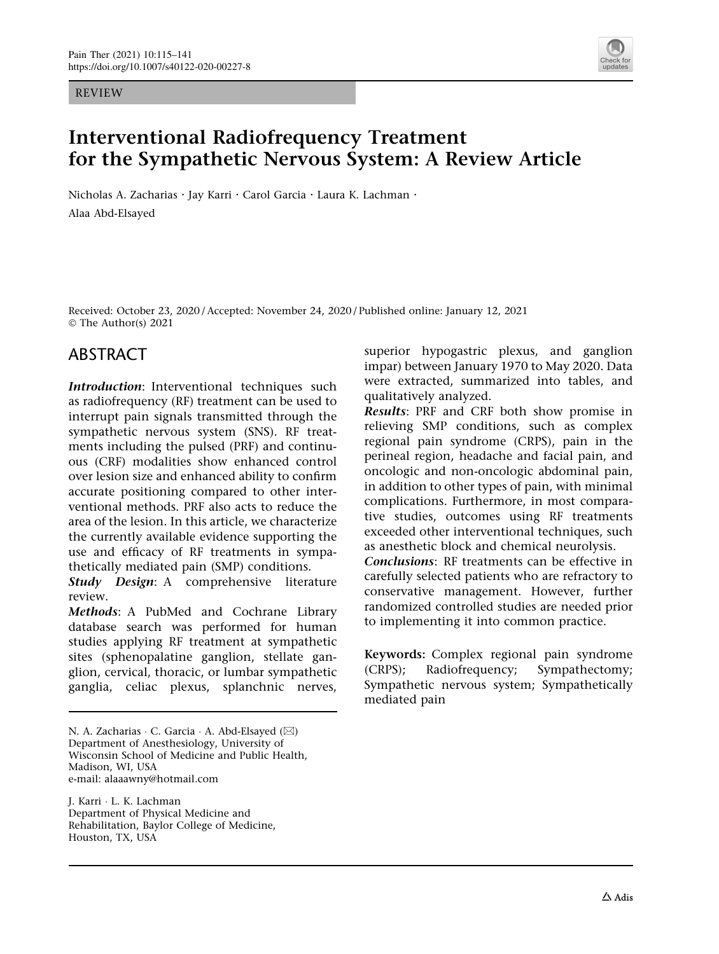REVIEW



# Interventional Radiofrequency Treatment for the Sympathetic Nervous System: A Review Article

Nicholas A. Zacharias · Jay Karri · Carol Garcia · Laura K. Lachman · Alaa Abd-Elsayed

Received: October 23, 2020 / Accepted: November 24, 2020 / Published online: January 12, 2021 © The Author(s) 2021

## ABSTRACT

Introduction: Interventional techniques such as radiofrequency (RF) treatment can be used to interrupt pain signals transmitted through the sympathetic nervous system (SNS). RF treatments including the pulsed (PRF) and continuous (CRF) modalities show enhanced control over lesion size and enhanced ability to confirm accurate positioning compared to other interventional methods. PRF also acts to reduce the area of the lesion. In this article, we characterize the currently available evidence supporting the use and efficacy of RF treatments in sympathetically mediated pain (SMP) conditions.

Study Design: A comprehensive literature review.

Methods: A PubMed and Cochrane Library database search was performed for human studies applying RF treatment at sympathetic sites (sphenopalatine ganglion, stellate ganglion, cervical, thoracic, or lumbar sympathetic ganglia, celiac plexus, splanchnic nerves,

J. Karri - L. K. Lachman Department of Physical Medicine and Rehabilitation, Baylor College of Medicine, Houston, TX, USA

superior hypogastric plexus, and ganglion impar) between January 1970 to May 2020. Data were extracted, summarized into tables, and qualitatively analyzed.

Results: PRF and CRF both show promise in relieving SMP conditions, such as complex regional pain syndrome (CRPS), pain in the perineal region, headache and facial pain, and oncologic and non-oncologic abdominal pain, in addition to other types of pain, with minimal complications. Furthermore, in most comparative studies, outcomes using RF treatments exceeded other interventional techniques, such as anesthetic block and chemical neurolysis.

Conclusions: RF treatments can be effective in carefully selected patients who are refractory to conservative management. However, further randomized controlled studies are needed prior to implementing it into common practice.

Keywords: Complex regional pain syndrome (CRPS); Radiofrequency; Sympathectomy; Sympathetic nervous system; Sympathetically mediated pain

N. A. Zacharias ∙ C. Garcia ∙ A. Abd-Elsayed (⊠) Department of Anesthesiology, University of Wisconsin School of Medicine and Public Health, Madison, WI, USA e-mail: alaaawny@hotmail.com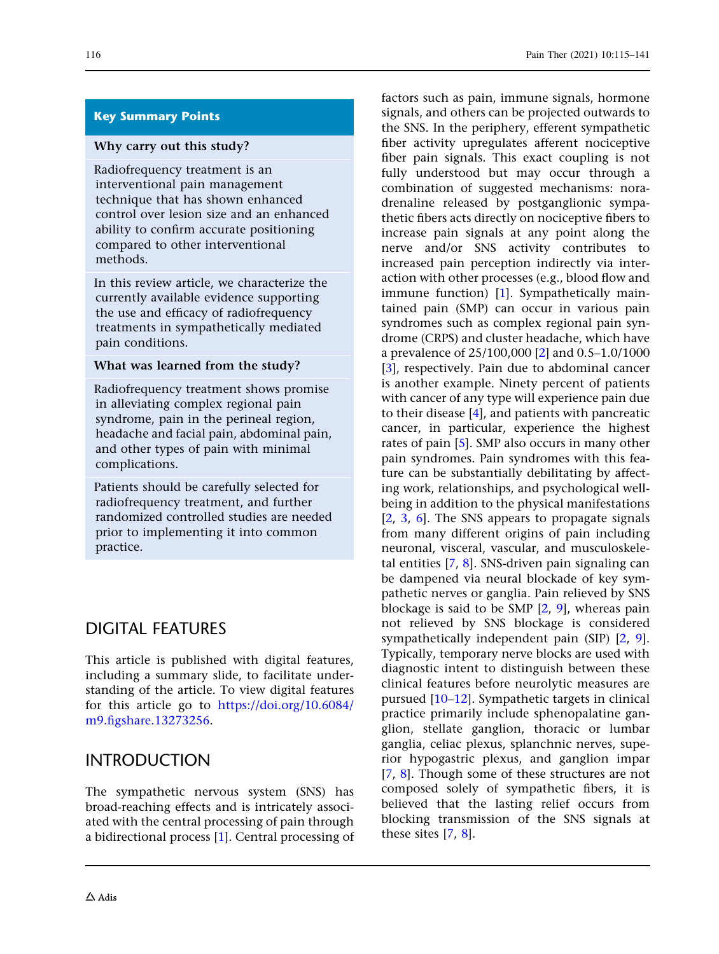### Key Summary Points

#### Why carry out this study?

Radiofrequency treatment is an interventional pain management technique that has shown enhanced control over lesion size and an enhanced ability to confirm accurate positioning compared to other interventional methods.

In this review article, we characterize the currently available evidence supporting the use and efficacy of radiofrequency treatments in sympathetically mediated pain conditions.

#### What was learned from the study?

Radiofrequency treatment shows promise in alleviating complex regional pain syndrome, pain in the perineal region, headache and facial pain, abdominal pain, and other types of pain with minimal complications.

Patients should be carefully selected for radiofrequency treatment, and further randomized controlled studies are needed prior to implementing it into common practice.

## DIGITAL FEATURES

This article is published with digital features, including a summary slide, to facilitate understanding of the article. To view digital features for this article go to [https://doi.org/10.6084/](https://doi.org/10.6084/m9.figshare.13273256) [m9.figshare.13273256.](https://doi.org/10.6084/m9.figshare.13273256)

### INTRODUCTION

The sympathetic nervous system (SNS) has broad-reaching effects and is intricately associated with the central processing of pain through a bidirectional process [\[1](#page-22-0)]. Central processing of factors such as pain, immune signals, hormone signals, and others can be projected outwards to the SNS. In the periphery, efferent sympathetic fiber activity upregulates afferent nociceptive fiber pain signals. This exact coupling is not fully understood but may occur through a combination of suggested mechanisms: noradrenaline released by postganglionic sympathetic fibers acts directly on nociceptive fibers to increase pain signals at any point along the nerve and/or SNS activity contributes to increased pain perception indirectly via interaction with other processes (e.g., blood flow and immune function) [[1](#page-22-0)]. Sympathetically maintained pain (SMP) can occur in various pain syndromes such as complex regional pain syndrome (CRPS) and cluster headache, which have a prevalence of 25/100,000 [\[2](#page-22-0)] and 0.5–1.0/1000 [\[3](#page-22-0)], respectively. Pain due to abdominal cancer is another example. Ninety percent of patients with cancer of any type will experience pain due to their disease [[4](#page-22-0)], and patients with pancreatic cancer, in particular, experience the highest rates of pain [[5\]](#page-22-0). SMP also occurs in many other pain syndromes. Pain syndromes with this feature can be substantially debilitating by affecting work, relationships, and psychological wellbeing in addition to the physical manifestations [\[2](#page-22-0), [3,](#page-22-0) [6](#page-22-0)]. The SNS appears to propagate signals from many different origins of pain including neuronal, visceral, vascular, and musculoskeletal entities [[7](#page-22-0), [8](#page-22-0)]. SNS-driven pain signaling can be dampened via neural blockade of key sympathetic nerves or ganglia. Pain relieved by SNS blockage is said to be SMP [[2](#page-22-0), [9\]](#page-22-0), whereas pain not relieved by SNS blockage is considered sympathetically independent pain (SIP) [\[2](#page-22-0), [9](#page-22-0)]. Typically, temporary nerve blocks are used with diagnostic intent to distinguish between these clinical features before neurolytic measures are pursued [[10–12\]](#page-22-0). Sympathetic targets in clinical practice primarily include sphenopalatine ganglion, stellate ganglion, thoracic or lumbar ganglia, celiac plexus, splanchnic nerves, superior hypogastric plexus, and ganglion impar [\[7](#page-22-0), [8](#page-22-0)]. Though some of these structures are not composed solely of sympathetic fibers, it is believed that the lasting relief occurs from blocking transmission of the SNS signals at these sites [\[7](#page-22-0), [8\]](#page-22-0).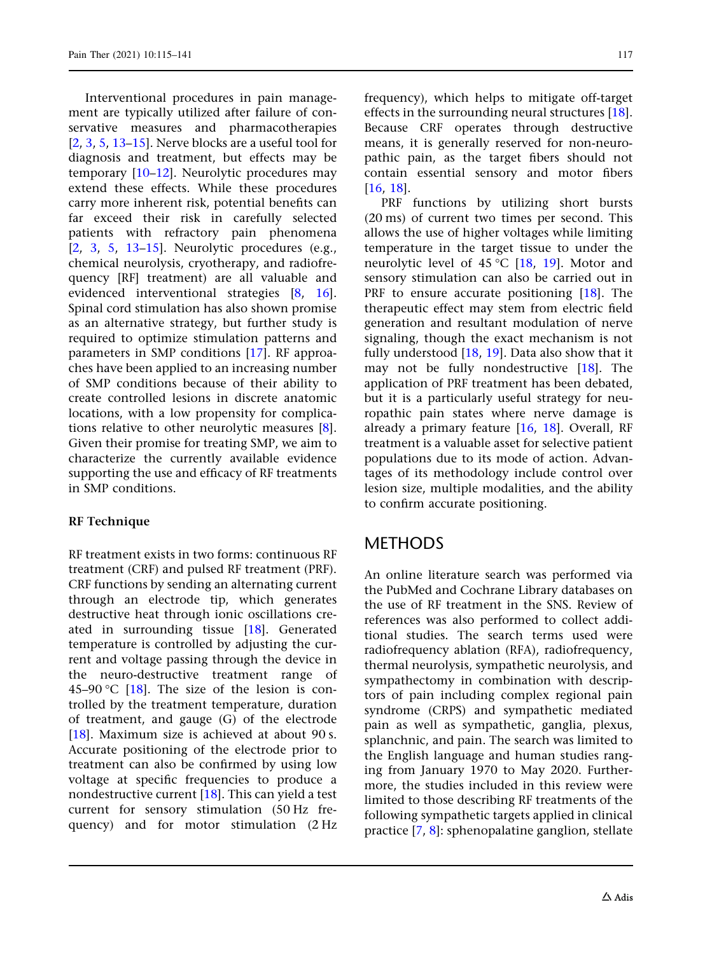Interventional procedures in pain management are typically utilized after failure of conservative measures and pharmacotherapies [\[2,](#page-22-0) [3,](#page-22-0) [5,](#page-22-0) [13–15\]](#page-23-0). Nerve blocks are a useful tool for diagnosis and treatment, but effects may be temporary [[10–12](#page-22-0)]. Neurolytic procedures may extend these effects. While these procedures carry more inherent risk, potential benefits can far exceed their risk in carefully selected patients with refractory pain phenomena [\[2,](#page-22-0) [3](#page-22-0), [5](#page-22-0), [13–15](#page-23-0)]. Neurolytic procedures (e.g., chemical neurolysis, cryotherapy, and radiofrequency [RF] treatment) are all valuable and evidenced interventional strategies [[8,](#page-22-0) [16\]](#page-23-0). Spinal cord stimulation has also shown promise as an alternative strategy, but further study is required to optimize stimulation patterns and parameters in SMP conditions [[17](#page-23-0)]. RF approaches have been applied to an increasing number of SMP conditions because of their ability to create controlled lesions in discrete anatomic locations, with a low propensity for complications relative to other neurolytic measures [\[8\]](#page-22-0). Given their promise for treating SMP, we aim to characterize the currently available evidence supporting the use and efficacy of RF treatments in SMP conditions.

### RF Technique

RF treatment exists in two forms: continuous RF treatment (CRF) and pulsed RF treatment (PRF). CRF functions by sending an alternating current through an electrode tip, which generates destructive heat through ionic oscillations created in surrounding tissue [\[18\]](#page-23-0). Generated temperature is controlled by adjusting the current and voltage passing through the device in the neuro-destructive treatment range of 45–90 °C [\[18\]](#page-23-0). The size of the lesion is controlled by the treatment temperature, duration of treatment, and gauge (G) of the electrode [\[18](#page-23-0)]. Maximum size is achieved at about 90 s. Accurate positioning of the electrode prior to treatment can also be confirmed by using low voltage at specific frequencies to produce a nondestructive current [[18](#page-23-0)]. This can yield a test current for sensory stimulation (50 Hz frequency) and for motor stimulation (2 Hz frequency), which helps to mitigate off-target effects in the surrounding neural structures [[18](#page-23-0)]. Because CRF operates through destructive means, it is generally reserved for non-neuropathic pain, as the target fibers should not contain essential sensory and motor fibers [\[16,](#page-23-0) [18](#page-23-0)].

PRF functions by utilizing short bursts (20 ms) of current two times per second. This allows the use of higher voltages while limiting temperature in the target tissue to under the neurolytic level of  $45^{\circ}$ C [\[18,](#page-23-0) [19](#page-23-0)]. Motor and sensory stimulation can also be carried out in PRF to ensure accurate positioning [\[18\]](#page-23-0). The therapeutic effect may stem from electric field generation and resultant modulation of nerve signaling, though the exact mechanism is not fully understood  $[18, 19]$  $[18, 19]$  $[18, 19]$ . Data also show that it may not be fully nondestructive [\[18\]](#page-23-0). The application of PRF treatment has been debated, but it is a particularly useful strategy for neuropathic pain states where nerve damage is already a primary feature [[16](#page-23-0), [18](#page-23-0)]. Overall, RF treatment is a valuable asset for selective patient populations due to its mode of action. Advantages of its methodology include control over lesion size, multiple modalities, and the ability to confirm accurate positioning.

## **METHODS**

An online literature search was performed via the PubMed and Cochrane Library databases on the use of RF treatment in the SNS. Review of references was also performed to collect additional studies. The search terms used were radiofrequency ablation (RFA), radiofrequency, thermal neurolysis, sympathetic neurolysis, and sympathectomy in combination with descriptors of pain including complex regional pain syndrome (CRPS) and sympathetic mediated pain as well as sympathetic, ganglia, plexus, splanchnic, and pain. The search was limited to the English language and human studies ranging from January 1970 to May 2020. Furthermore, the studies included in this review were limited to those describing RF treatments of the following sympathetic targets applied in clinical practice [\[7](#page-22-0), [8](#page-22-0)]: sphenopalatine ganglion, stellate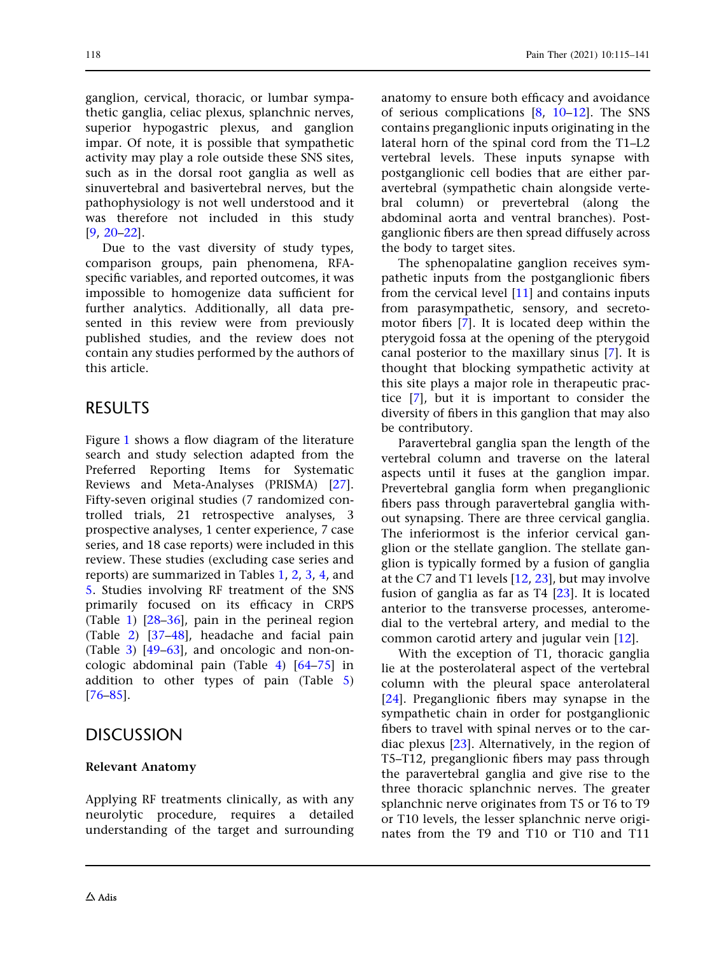ganglion, cervical, thoracic, or lumbar sympathetic ganglia, celiac plexus, splanchnic nerves, superior hypogastric plexus, and ganglion impar. Of note, it is possible that sympathetic activity may play a role outside these SNS sites, such as in the dorsal root ganglia as well as sinuvertebral and basivertebral nerves, but the pathophysiology is not well understood and it was therefore not included in this study [\[9,](#page-22-0) [20–22](#page-23-0)].

Due to the vast diversity of study types, comparison groups, pain phenomena, RFAspecific variables, and reported outcomes, it was impossible to homogenize data sufficient for further analytics. Additionally, all data presented in this review were from previously published studies, and the review does not contain any studies performed by the authors of this article.

### RESULTS

Figure [1](#page-4-0) shows a flow diagram of the literature search and study selection adapted from the Preferred Reporting Items for Systematic Reviews and Meta-Analyses (PRISMA) [[27](#page-23-0)]. Fifty-seven original studies (7 randomized controlled trials, 21 retrospective analyses, 3 prospective analyses, 1 center experience, 7 case series, and 18 case reports) were included in this review. These studies (excluding case series and reports) are summarized in Tables [1,](#page-5-0) [2](#page-7-0), [3,](#page-9-0) [4](#page-12-0), and [5.](#page-15-0) Studies involving RF treatment of the SNS primarily focused on its efficacy in CRPS (Table [1](#page-5-0)) [[28](#page-23-0)[–36\]](#page-24-0), pain in the perineal region (Table [2\)](#page-7-0) [\[37–48](#page-24-0)], headache and facial pain (Table [3\)](#page-9-0) [\[49–](#page-24-0)[63](#page-25-0)], and oncologic and non-oncologic abdominal pain (Table [4\)](#page-12-0) [[64–](#page-25-0)[75](#page-26-0)] in addition to other types of pain (Table [5\)](#page-15-0) [\[76–85](#page-26-0)].

### **DISCUSSION**

#### Relevant Anatomy

Applying RF treatments clinically, as with any neurolytic procedure, requires a detailed understanding of the target and surrounding

118 Pain Ther (2021) 10:115–141

anatomy to ensure both efficacy and avoidance of serious complications [[8](#page-22-0), [10–12\]](#page-22-0). The SNS contains preganglionic inputs originating in the lateral horn of the spinal cord from the T1–L2 vertebral levels. These inputs synapse with postganglionic cell bodies that are either paravertebral (sympathetic chain alongside vertebral column) or prevertebral (along the abdominal aorta and ventral branches). Postganglionic fibers are then spread diffusely across the body to target sites.

The sphenopalatine ganglion receives sympathetic inputs from the postganglionic fibers from the cervical level [\[11\]](#page-22-0) and contains inputs from parasympathetic, sensory, and secretomotor fibers [\[7](#page-22-0)]. It is located deep within the pterygoid fossa at the opening of the pterygoid canal posterior to the maxillary sinus [[7](#page-22-0)]. It is thought that blocking sympathetic activity at this site plays a major role in therapeutic practice [\[7\]](#page-22-0), but it is important to consider the diversity of fibers in this ganglion that may also be contributory.

Paravertebral ganglia span the length of the vertebral column and traverse on the lateral aspects until it fuses at the ganglion impar. Prevertebral ganglia form when preganglionic fibers pass through paravertebral ganglia without synapsing. There are three cervical ganglia. The inferiormost is the inferior cervical ganglion or the stellate ganglion. The stellate ganglion is typically formed by a fusion of ganglia at the C7 and T1 levels [\[12,](#page-22-0) [23\]](#page-23-0), but may involve fusion of ganglia as far as  $T4$   $[23]$ . It is located anterior to the transverse processes, anteromedial to the vertebral artery, and medial to the common carotid artery and jugular vein [[12](#page-22-0)].

With the exception of T1, thoracic ganglia lie at the posterolateral aspect of the vertebral column with the pleural space anterolateral [\[24\]](#page-23-0). Preganglionic fibers may synapse in the sympathetic chain in order for postganglionic fibers to travel with spinal nerves or to the cardiac plexus [[23](#page-23-0)]. Alternatively, in the region of T5–T12, preganglionic fibers may pass through the paravertebral ganglia and give rise to the three thoracic splanchnic nerves. The greater splanchnic nerve originates from T5 or T6 to T9 or T10 levels, the lesser splanchnic nerve originates from the T9 and T10 or T10 and T11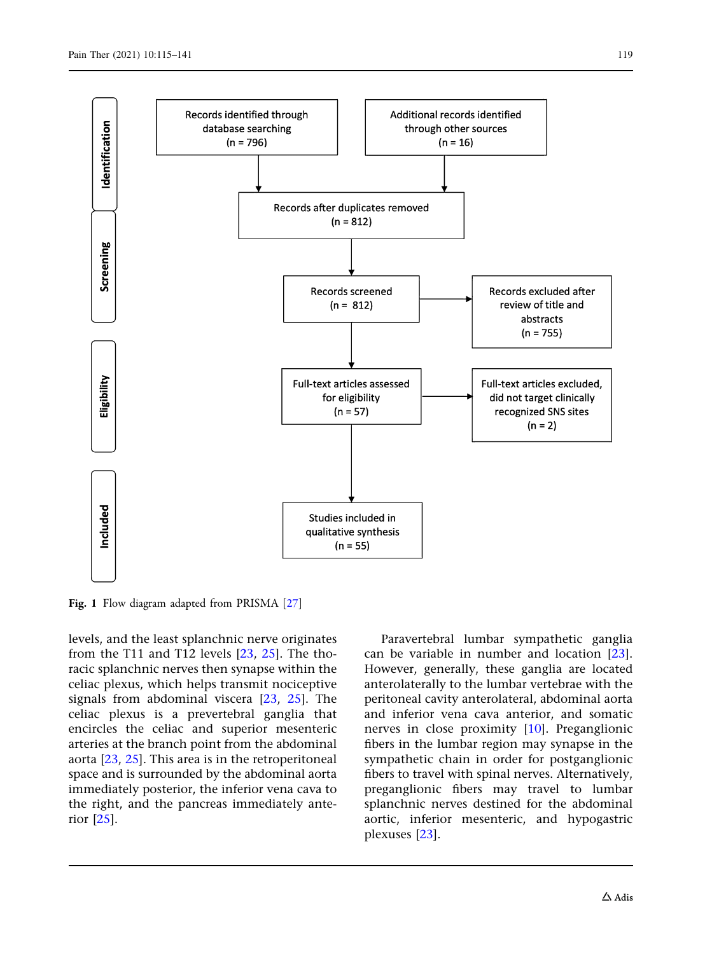<span id="page-4-0"></span>

Fig. 1 Flow diagram adapted from PRISMA [[27](#page-23-0)]

levels, and the least splanchnic nerve originates from the T11 and T12 levels [[23](#page-23-0), [25](#page-23-0)]. The thoracic splanchnic nerves then synapse within the celiac plexus, which helps transmit nociceptive signals from abdominal viscera [\[23,](#page-23-0) [25\]](#page-23-0). The celiac plexus is a prevertebral ganglia that encircles the celiac and superior mesenteric arteries at the branch point from the abdominal aorta [[23](#page-23-0), [25](#page-23-0)]. This area is in the retroperitoneal space and is surrounded by the abdominal aorta immediately posterior, the inferior vena cava to the right, and the pancreas immediately anterior [\[25\]](#page-23-0).

Paravertebral lumbar sympathetic ganglia can be variable in number and location [[23](#page-23-0)]. However, generally, these ganglia are located anterolaterally to the lumbar vertebrae with the peritoneal cavity anterolateral, abdominal aorta and inferior vena cava anterior, and somatic nerves in close proximity [\[10\]](#page-22-0). Preganglionic fibers in the lumbar region may synapse in the sympathetic chain in order for postganglionic fibers to travel with spinal nerves. Alternatively, preganglionic fibers may travel to lumbar splanchnic nerves destined for the abdominal aortic, inferior mesenteric, and hypogastric plexuses [[23](#page-23-0)].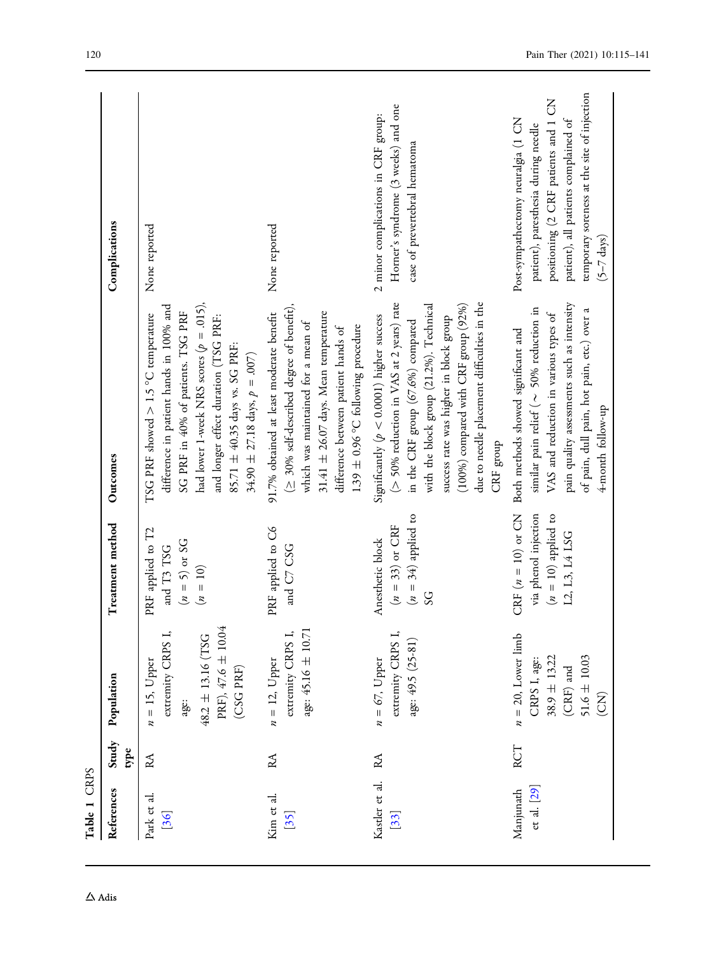| Table 1 CRPS             |               |                                                                                                                        |                                                                                       |                                                                                                                                                                                                                                                                                                                                |                                                                                                                                                                                                                                  |
|--------------------------|---------------|------------------------------------------------------------------------------------------------------------------------|---------------------------------------------------------------------------------------|--------------------------------------------------------------------------------------------------------------------------------------------------------------------------------------------------------------------------------------------------------------------------------------------------------------------------------|----------------------------------------------------------------------------------------------------------------------------------------------------------------------------------------------------------------------------------|
| References               | Study<br>type | Population                                                                                                             | Treatment method                                                                      | Outcomes                                                                                                                                                                                                                                                                                                                       | Complications                                                                                                                                                                                                                    |
| Park et al.<br>[36]      | RA            | PRF), 47.6 ± 10.04<br>extremity CRPS I,<br>$48.2 \pm 13.16$ (TSG<br>$n = 15$ , Upper<br>(CSG PRF)<br>age:              | PRF applied to T2<br>$(n = 5)$ or SG<br>and T3 TSG<br>$(n = 10)$                      | had lower 1-week NRS scores ( $p = .015$ ),<br>difference in patient hands in 100% and<br>SG PRF in 40% of patients. TSG PRF<br>TSG PRF showed $> 1.5$ °C temperature<br>and longer effect duration (TSG PRF:<br>85.71 ± 40.35 days vs. SG PRF:<br>$34.90 \pm 27.18$ days, $p = .007$ )                                        | None reported                                                                                                                                                                                                                    |
| Kim et al.<br>$[35]$     | $R\Lambda$    | age: 45.16 ± 10.71<br>extremity CRPS I,<br>$n = 12$ , Upper                                                            | PRF applied to C6<br>and C7 CSG                                                       | $( \geq 30\%$ self-described degree of benefit),<br>91.7% obtained at least moderate benefit<br>31.41 $\pm$ 26.07 days. Mean temperature<br>which was maintained for a mean of<br>1.39 $\pm$ 0.96 °C following procedure<br>difference between patient hands of                                                                | None reported                                                                                                                                                                                                                    |
| Kastler et al.<br>[33]   | RA            | extremity CRPS I,<br>age: 49.5 (25-81)<br>$n = 67$ , Upper                                                             | $(n = 34)$ applied to<br>$(n = 33)$ or CRF<br>Anesthetic block<br>SG                  | $>$ 50% reduction in VAS at 2 years) rate<br>due to needle placement difficulties in the<br>with the block group (21.2%). Technical<br>$(100\%)$ compared with CRF group $(92\%)$<br>Significantly ( $p < 0.0001$ ) higher success<br>success rate was higher in block group<br>in the CRF group (67.6%) compared<br>CRF group | Horner's syndrome (3 weeks) and one<br>2 minor complications in CRF group:<br>case of prevertebral hematoma                                                                                                                      |
| et al. [29]<br>Manjunath | RCT           | $n = 20$ , Lower limb<br>$38.9 \pm 13.22$<br>$51.6 \pm 10.03$<br>CRPS I, age:<br>$(\mbox{CRF})$ and<br>$\widetilde{S}$ | CRF $(n=10)$ or CN<br>via phenol injection<br>$(n = 10)$ applied to<br>L2, L3, L4 LSG | pain quality assessments such as intensity<br>similar pain relief ( $\sim$ 50% reduction in<br>of pain, dull pain, hot pain, etc.) over a<br>VAS and reduction in various types of<br>Both methods showed significant and<br>4-month follow-up                                                                                 | temporary soreness at the site of injection<br>positioning (2 CRF patients and 1 CN<br>Post-sympathectomy neuralgia (1 CN<br>patient), all patients complained of<br>patient), paresthesia during needle<br>$(5-7 \text{ days})$ |

<span id="page-5-0"></span>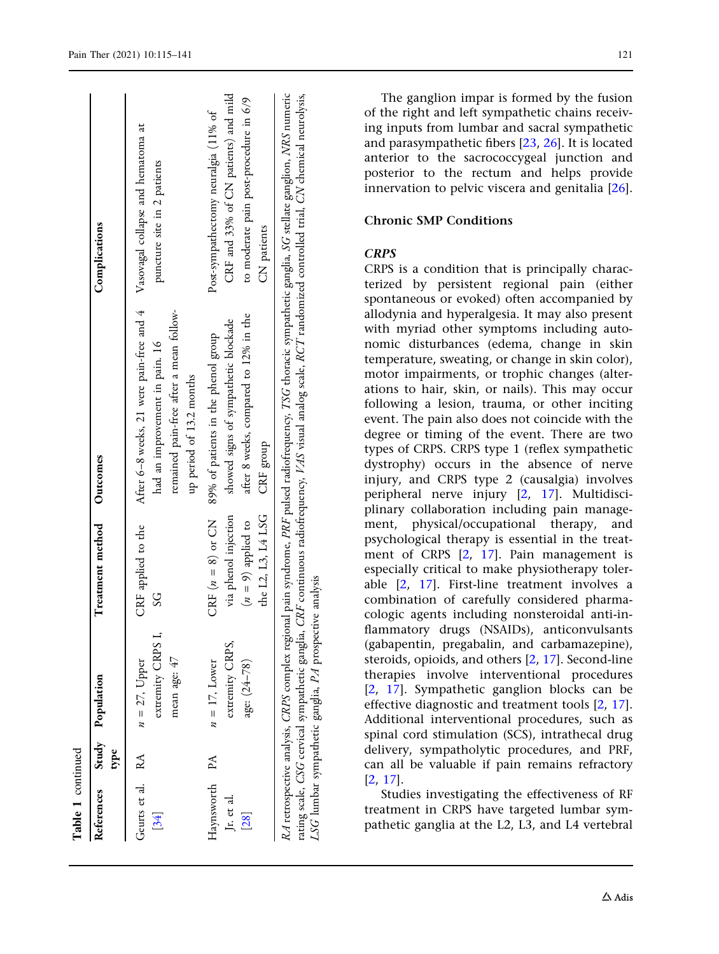| Table 1 continued                |      |                                                         |                                                                                           |                                                                                                                                                                                                                                                                                                                                    |                                                                                                                                       |
|----------------------------------|------|---------------------------------------------------------|-------------------------------------------------------------------------------------------|------------------------------------------------------------------------------------------------------------------------------------------------------------------------------------------------------------------------------------------------------------------------------------------------------------------------------------|---------------------------------------------------------------------------------------------------------------------------------------|
| References                       | type | Study Population                                        | Treatment method                                                                          | Outcomes                                                                                                                                                                                                                                                                                                                           | Complications                                                                                                                         |
| Geurts et al. RA<br>[34]         |      | extremity CRPS I,<br>mean age: 47<br>$n = 27$ , Upper   | CRF applied to the<br>SS                                                                  | After 6-8 weeks, 21 were pain-free and 4<br>remained pain-free after a mean follow-<br>had an improvement in pain. 16<br>up period of 13.2 months                                                                                                                                                                                  | Vasovagal collapse and hematoma at<br>puncture site in 2 patients                                                                     |
| Haynsworth<br>Jr. et al.<br>[28] | PA   | extremity CRPS,<br>age: $(24-78)$<br>$n = 17$ , Lower   | the L2, L3, L4 LSG<br>via phenol injection<br>CRF $(n = 8)$ or CN<br>$(n = 9)$ applied to | after 8 weeks, compared to 12% in the<br>showed signs of sympathetic blockade<br>89% of patients in the phenol group<br>CRF group                                                                                                                                                                                                  | CRF and 33% of CN patients) and mild<br>to moderate pain post-procedure in 6/9<br>Post-sympathectomy neuralgia (11% of<br>CN patients |
|                                  |      | LSG lumbar sympathetic ganglia, PA prospective analysis |                                                                                           | RA retrospective analysis, CRPS complex regional pain syndrome, PRF pulsed radiofrequency, TSG thoracic sympathetic ganglia, SG stellate ganglion, NRS numeric<br>rating scale, CSG cervical sympathetic ganglia, CRF continuous radiofrequency, VAS visual analog scale, RCT randomized controlled trial, CN chemical neurolysis, |                                                                                                                                       |

The ganglion impar is formed by the fusion of the right and left sympathetic chains receiving inputs from lumbar and sacral sympathetic and parasympathetic fibers [\[23,](#page-23-0) [26\]](#page-23-0). It is located anterior to the sacrococcygeal junction and posterior to the rectum and helps provide innervation to pelvic viscera and genitalia [[26](#page-23-0)].

#### Chronic SMP Conditions

#### **CRPS**

CRPS is a condition that is principally characterized by persistent regional pain (either spontaneous or evoked) often accompanied by allodynia and hyperalgesia. It may also present with myriad other symptoms including autonomic disturbances (edema, change in skin temperature, sweating, or change in skin color), motor impairments, or trophic changes (alterations to hair, skin, or nails). This may occur following a lesion, trauma, or other inciting event. The pain also does not coincide with the degree or timing of the event. There are two types of CRPS. CRPS type 1 (reflex sympathetic dystrophy) occurs in the absence of nerve injury, and CRPS type 2 (causalgia) involves peripheral nerve injury [[2](#page-22-0), [17\]](#page-23-0). Multidisciplinary collaboration including pain management, physical/occupational therapy, and psychological therapy is essential in the treatment of CRPS [\[2,](#page-22-0) [17\]](#page-23-0). Pain management is especially critical to make physiotherapy tolerable [\[2](#page-22-0), [17\]](#page-23-0). First-line treatment involves a combination of carefully considered pharmacologic agents including nonsteroidal anti-inflammatory drugs (NSAIDs), anticonvulsants (gabapentin, pregabalin, and carbamazepine), steroids, opioids, and others [\[2](#page-22-0), [17](#page-23-0)]. Second-line therapies involve interventional procedures [\[2,](#page-22-0) [17](#page-23-0)]. Sympathetic ganglion blocks can be effective diagnostic and treatment tools [[2,](#page-22-0) [17](#page-23-0)]. Additional interventional procedures, such as spinal cord stimulation (SCS), intrathecal drug delivery, sympatholytic procedures, and PRF, can all be valuable if pain remains refractory [\[2,](#page-22-0) [17\]](#page-23-0).

Studies investigating the effectiveness of RF treatment in CRPS have targeted lumbar sympathetic ganglia at the L2, L3, and L4 vertebral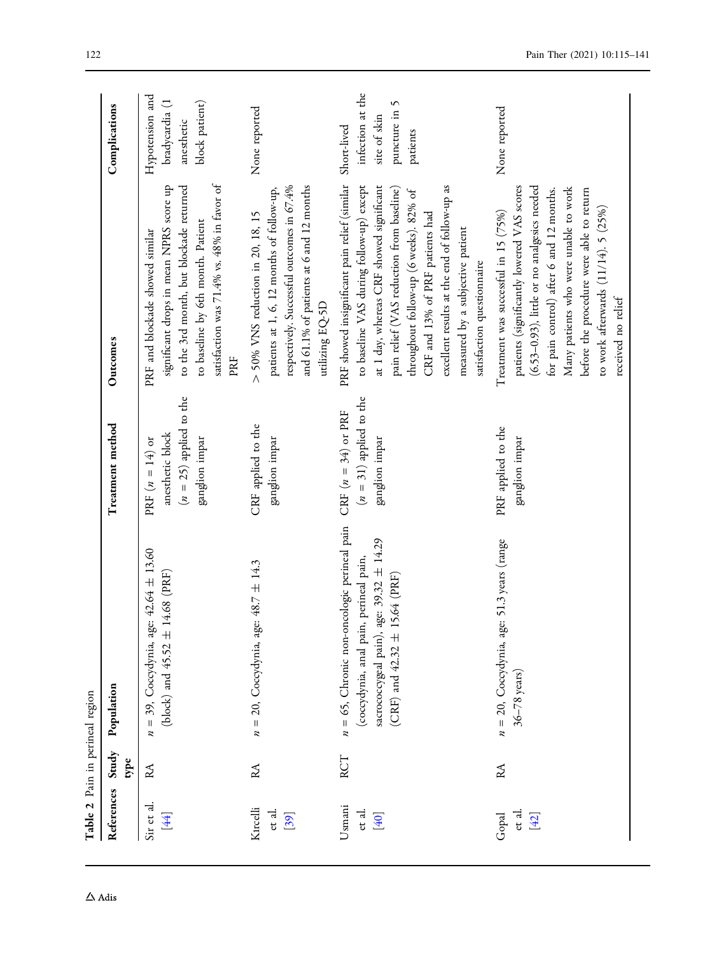<span id="page-7-0"></span>

| Table 2 Pain in perineal region |      |                                                                                                                                                                                     |                                                                                      |                                                                                                                                                                                                                                                                                                                                                                                               |                                                                   |
|---------------------------------|------|-------------------------------------------------------------------------------------------------------------------------------------------------------------------------------------|--------------------------------------------------------------------------------------|-----------------------------------------------------------------------------------------------------------------------------------------------------------------------------------------------------------------------------------------------------------------------------------------------------------------------------------------------------------------------------------------------|-------------------------------------------------------------------|
| References Study                | type | Population                                                                                                                                                                          | Treatment method                                                                     | Outcomes                                                                                                                                                                                                                                                                                                                                                                                      | Complications                                                     |
| Sir et al.<br>[44]              | RA   | $n = 39$ , Coccydynia, age: 42.64 ± 13.60<br>14.68 (PRF)<br>(block) and $45.52 \pm$                                                                                                 | $(n = 25)$ applied to the<br>anesthetic block<br>ganglion impar<br>PRF $(n = 14)$ or | satisfaction was 71.4% vs. 48% in favor of<br>significant drops in mean NPRS score up<br>to the 3rd month, but blockade returned<br>to baseline by 6th month. Patient<br>PRF and blockade showed similar<br>PRF                                                                                                                                                                               | Hypotension and<br>bradycardia (1<br>block patient)<br>anesthetic |
| Kırcelli<br>et al.<br>[39]      | RA   | $n = 20$ , Coccydynia, age: 48.7 ± 14.3                                                                                                                                             | CRF applied to the<br>ganglion impar                                                 | and 61.1% of patients at 6 and 12 months<br>respectively. Successful outcomes in 67.4%<br>patients at 1, 6, 12 months of follow-up,<br>$>$ 50% VNS reduction in 20, 18, 15<br>utilizing EQ-5D                                                                                                                                                                                                 | None reported                                                     |
| Usmani<br>et al.<br>[40]        | RCT  | $n = 65$ , Chronic non-oncologic perineal pain<br>age: 39.32 $\pm$ 14.29<br>(coccydynia, anal pain, perineal pain,<br>15.64 (PRF)<br>sacrococcygeal pain),<br>(CRF) and 42.32 $\pm$ | $(n = 31)$ applied to the<br>CRF $(n = 34)$ or PRF<br>ganglion impar                 | PRF showed insignificant pain relief (similar Short-lived<br>to baseline VAS during follow-up) except<br>at 1 day, whereas CRF showed significant<br>excellent results at the end of follow-up as<br>pain relief (VAS reduction from baseline)<br>throughout follow-up (6 weeks). 82% of<br>CRF and 13% of PRF patients had<br>measured by a subjective patient<br>satisfaction questionnaire | infection at the<br>puncture in 5<br>site of skin<br>patients     |
| et al.<br>Gopal<br>$[42]$       | RA   | $n = 20$ , Coccydynia, age: 51.3 years (range<br>$36 - 78$ years)                                                                                                                   | PRF applied to the<br>ganglion impar                                                 | (6.53-0.93), little or no analgesics needed<br>patients (significantly lowered VAS scores<br>Many patients who were unable to work<br>before the procedure were able to return<br>for pain control) after 6 and 12 months.<br>to work afterwards $(11/14)$ . 5 $(25%)$<br>Treatment was successful in 15 (75%)<br>received no relief                                                          | None reported                                                     |

 $\Delta$ Adis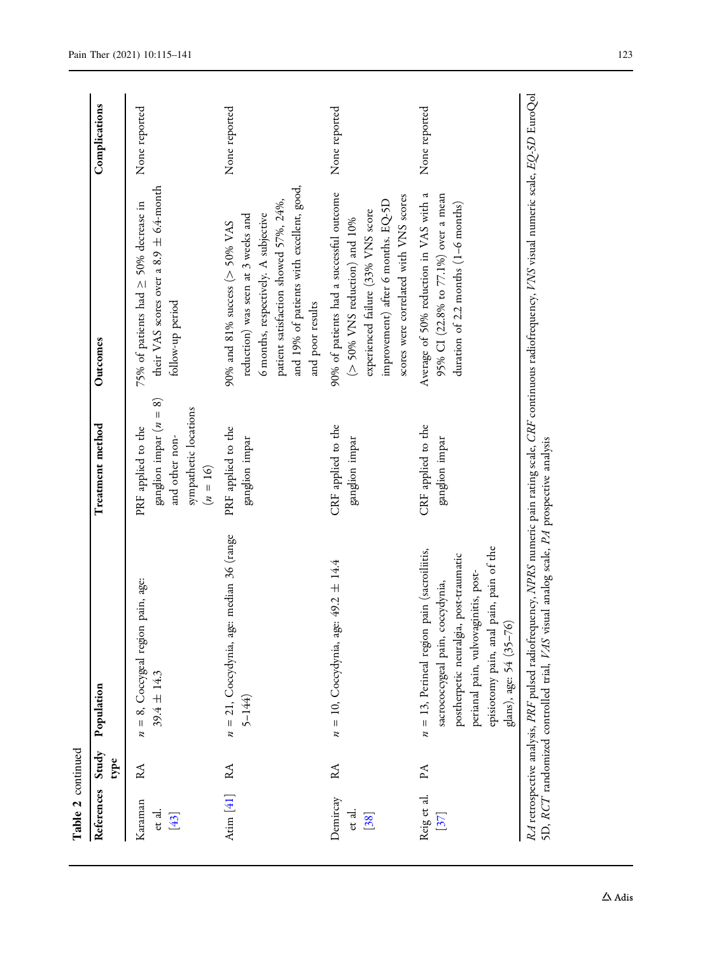| Table 2 continued           |               |                                                                                                                                                                                                                                                       |                                                                                                           |                                                                                                                                                                                                                           |               |
|-----------------------------|---------------|-------------------------------------------------------------------------------------------------------------------------------------------------------------------------------------------------------------------------------------------------------|-----------------------------------------------------------------------------------------------------------|---------------------------------------------------------------------------------------------------------------------------------------------------------------------------------------------------------------------------|---------------|
| References                  | Study<br>type | Population                                                                                                                                                                                                                                            | Treatment method                                                                                          | Outcomes                                                                                                                                                                                                                  | Complications |
| Karaman<br>et al.<br>$[43]$ | RA            | $n = 8$ , Coccygeal region pain, age:<br>$39.4 \pm 14.3$                                                                                                                                                                                              | ganglion impar ( $n = 8$ )<br>sympathetic locations<br>PRF applied to the<br>and other non-<br>$(n = 16)$ | their VAS scores over a 8.9 $\pm$ 6.4-month<br>75% of patients had $\geq$ 50% decrease in<br>follow-up period                                                                                                             | None reported |
| Atim $[41]$ RA              |               | $n = 21$ , Coccydynia, age: median 36 (range<br>$5 - 144$                                                                                                                                                                                             | PRF applied to the<br>ganglion impar                                                                      | and 19% of patients with excellent, good,<br>patient satisfaction showed 57%, 24%,<br>6 months, respectively. A subjective<br>reduction) was seen at 3 weeks and<br>90% and 81% success ( $>$ 50% VAS<br>and poor results | None reported |
| Demircay<br>et al.<br>[38]  | RA            | $n = 10$ , Coccydynia, age: 49.2 ± 14.4                                                                                                                                                                                                               | CRF applied to the<br>ganglion impar                                                                      | 90% of patients had a successful outcome<br>scores were correlated with VNS scores<br>improvement) after 6 months. EQ-5D<br>experienced failure (33% VNS score<br>( $>$ 50% VNS reduction) and 10%                        | None reported |
| Reig et al.<br>[37]         | PA            | episiotomy pain, anal pain, pain of the<br>$n = 13$ , Perineal region pain (sacroiliitis,<br>postherpetic neuralgia, post-traumatic<br>perianal pain, vulvovaginitis, post-<br>sacrococcygeal pain, coccydynia,<br>glans), age: 54 (35-76)            | CRF applied to the<br>ganglion impar                                                                      | Average of 50% reduction in VAS with a<br>95% CI (22.8% to 77.1%) over a mean<br>duration of 2.2 months (1-6 months)                                                                                                      | None reported |
|                             |               | RA retrospective analysis, PRF pulsed radiofrequency, NPRS numeric pain rating scale, CRF continuous radiofrequency, VNS visual numeric scale, EQ-5D EuroQol<br>SD, RCT randomized controlled trial, VAS visual analog scale, PA prospective analysis |                                                                                                           |                                                                                                                                                                                                                           |               |

 $\Delta$ Adis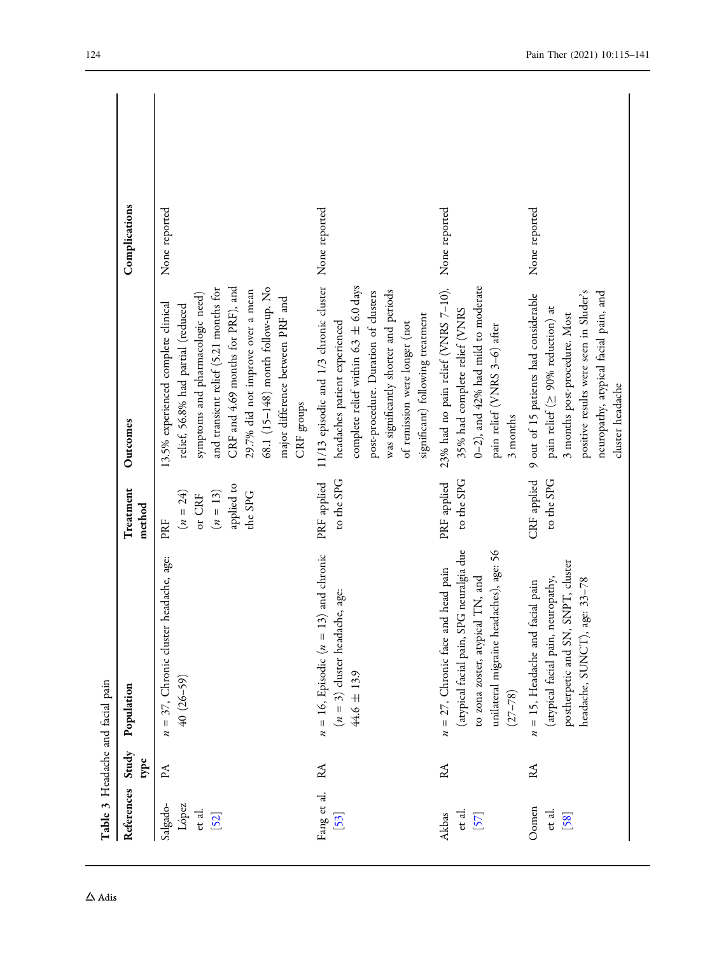<span id="page-9-0"></span>

| Table 3 Headache and facial pain    |      |                                                                                                                                                                                 |                                                                    |                                                                                                                                                                                                                                                                                                                         |               |
|-------------------------------------|------|---------------------------------------------------------------------------------------------------------------------------------------------------------------------------------|--------------------------------------------------------------------|-------------------------------------------------------------------------------------------------------------------------------------------------------------------------------------------------------------------------------------------------------------------------------------------------------------------------|---------------|
| References Study                    | type | Population                                                                                                                                                                      | Treatment<br>method                                                | Outcomes                                                                                                                                                                                                                                                                                                                | Complications |
| Salgado-<br>López<br>et al.<br>[52] | PA   | $n = 37$ , Chronic cluster headache, age:<br>$40(26-59)$                                                                                                                        | applied to<br>$(n = 13)$<br>$(n = 24)$<br>the SPG<br>or CRF<br>PRF | CRF and 4.69 months for PRF), and<br>68.1 (15-148) month follow-up. No<br>and transient relief (5.21 months for<br>29.7% did not improve over a mean<br>symptoms and pharmacologic need)<br>major difference between PRF and<br>13.5% experienced complete clinical<br>relief, 56.8% had partial (reduced<br>CRF groups | None reported |
| Fang et al.<br>[53]                 | RA   | $n = 16$ , Episodic ( $n = 13$ ) and chronic<br>$(n = 3)$ cluster headache, age:<br>$44.6 \pm 13.9$                                                                             | to the SPG<br>PRF applied                                          | 11/13 episodic and 1/3 chronic cluster None reported<br>complete relief within 6.3 $\pm$ 6.0 days<br>was significantly shorter and periods<br>post-procedure. Duration of clusters<br>significant) following treatment<br>headaches patient experienced<br>of remission were longer (not                                |               |
| et al.<br>Akbas<br>[57]             | RA   | (atypical facial pain, SPG neuralgia due<br>unilateral migraine headaches), age: 56<br>$n = 27$ , Chronic face and head pain<br>to zona zoster, atypical TN, and<br>$(27 - 78)$ | to the SPG<br>PRF applied                                          | 23% had no pain relief (VNRS 7-10), None reported<br>0-2), and $42\%$ had mild to moderate<br>35% had complete relief (VNRS<br>pain relief (VNRS 3-6) after<br>3 months                                                                                                                                                 |               |
| Oomen<br>et al.<br>[58]             | RA   | postherpetic and SN, SNPT, cluster<br>(atypical facial pain, neuropathy,<br>headache, SUNCT), age: 33-78<br>$n = 15$ , Headache and facial pain                                 | CRF applied<br>to the SPG                                          | positive results were seen in Sluder's<br>neuropathy, atypical facial pain, and<br>9 out of 15 patients had considerable<br>pain relief ( $\geq$ 90% reduction) at<br>3 months post-procedure. Most<br>cluster headache                                                                                                 | None reported |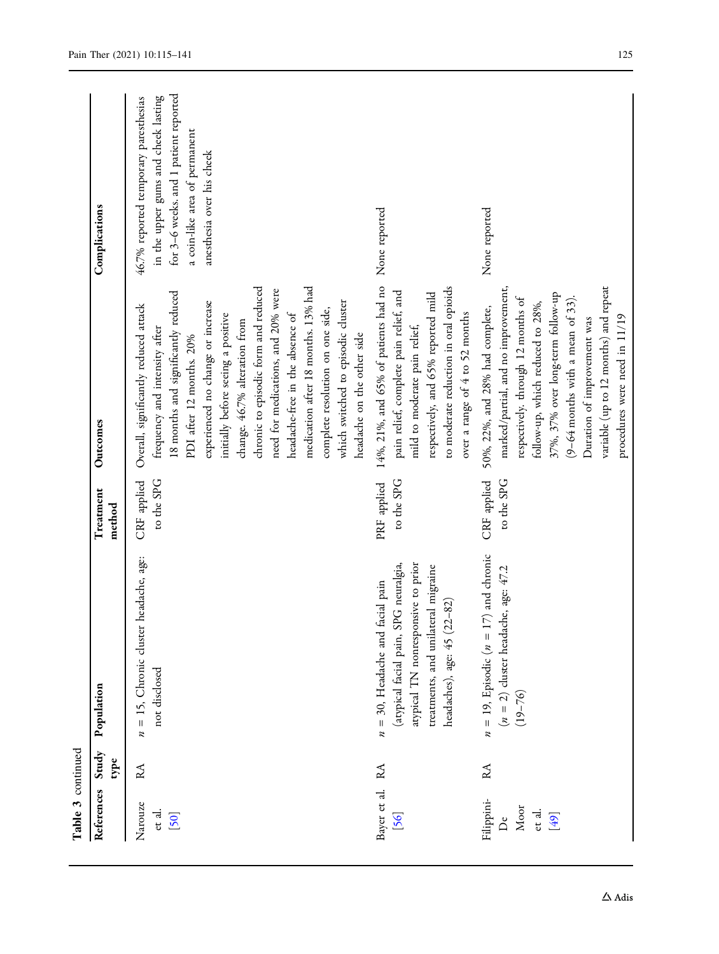| Table 3 continued                                |      |                                                                                                                                                                                          |                           |                                                                                                                                                                                                                                                                                                                                                                                                                                                                                                                       |                                                                                                                                                                                     |
|--------------------------------------------------|------|------------------------------------------------------------------------------------------------------------------------------------------------------------------------------------------|---------------------------|-----------------------------------------------------------------------------------------------------------------------------------------------------------------------------------------------------------------------------------------------------------------------------------------------------------------------------------------------------------------------------------------------------------------------------------------------------------------------------------------------------------------------|-------------------------------------------------------------------------------------------------------------------------------------------------------------------------------------|
| References Study                                 | type | Population                                                                                                                                                                               | Treatment<br>method       | Outcomes                                                                                                                                                                                                                                                                                                                                                                                                                                                                                                              | Complications                                                                                                                                                                       |
| Narouze<br>et al.<br>[50]                        | RA   | headache, age:<br>$n = 15$ , Chronic cluster<br>not disclosed                                                                                                                            | CRF applied<br>to the SPG | medication after 18 months. 13% had<br>chronic to episodic form and reduced<br>need for medications, and 20% were<br>18 months and significantly reduced<br>which switched to episodic cluster<br>experienced no change or increase<br>Overall, significantly reduced attack<br>complete resolution on one side,<br>headache-free in the absence of<br>initially before seeing a positive<br>change. 46.7% alteration from<br>frequency and intensity after<br>headache on the other side<br>PDI after 12 months. 20% | for 3-6 weeks. and 1 patient reported<br>in the upper gums and cheek lasting<br>46.7% reported temporary paresthesias<br>a coin-like area of permanent<br>anesthesia over his cheek |
| Bayer et al.<br>[56]                             | RA   | atypical TN nonresponsive to prior<br>(atypical facial pain, SPG neuralgia,<br>treatments, and unilateral migraine<br>$n = 30$ , Headache and facial pain<br>headaches), age: 45 (22-82) | to the SPG<br>PRF applied | 14%, 21%, and 65% of patients had no<br>to moderate reduction in oral opioids<br>pain relief, complete pain relief, and<br>respectively, and 65% reported mild<br>over a range of 4 to 52 months<br>mild to moderate pain relief,                                                                                                                                                                                                                                                                                     | None reported                                                                                                                                                                       |
| Filippini-<br>Moor<br>et al.<br>[49]<br>$\Delta$ | RA   | $n = 19$ , Episodic ( $n = 17$ ) and chronic<br>( $n = 2$ ) cluster headache, age: 47.2<br>(19–76)                                                                                       | CRF applied<br>to the SPG | variable (up to 12 months) and repeat<br>marked/partial, and no improvement,<br>37%, 37% over long-term follow-up<br>respectively. through 12 months of<br>$(9-64$ months with a mean of 33)<br>follow-up, which reduced to 28%,<br>50%, 22%, and 28% had complete,<br>procedures were need in 11/19<br>Duration of improvement was                                                                                                                                                                                   | None reported                                                                                                                                                                       |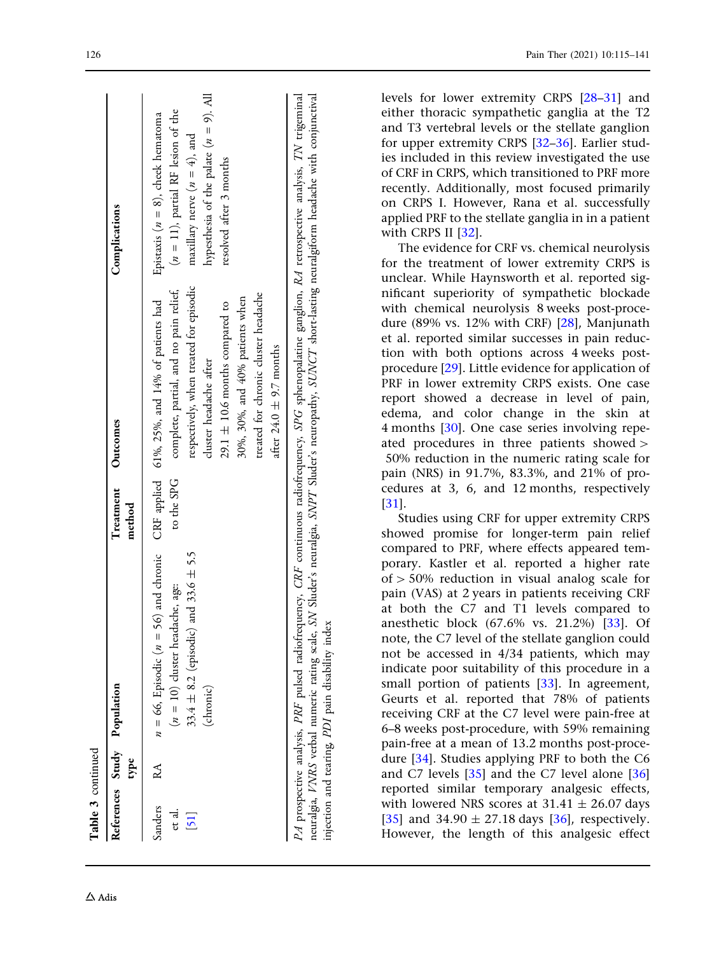| Table 3 continued                                       |              |                                                                                                                                                                                                                                                                                                                                                                           |                     |                                                                                                                                                                                                                                                                                                              |                                                                                                                                                                                           |
|---------------------------------------------------------|--------------|---------------------------------------------------------------------------------------------------------------------------------------------------------------------------------------------------------------------------------------------------------------------------------------------------------------------------------------------------------------------------|---------------------|--------------------------------------------------------------------------------------------------------------------------------------------------------------------------------------------------------------------------------------------------------------------------------------------------------------|-------------------------------------------------------------------------------------------------------------------------------------------------------------------------------------------|
|                                                         | type         | References Study Population                                                                                                                                                                                                                                                                                                                                               | Treatment<br>method | Outcomes                                                                                                                                                                                                                                                                                                     | Complications                                                                                                                                                                             |
| Sanders<br>et al.<br>$\begin{bmatrix} 51 \end{bmatrix}$ | $\mathbb{A}$ | $n = 66$ , Episodic ( $n = 56$ ) and chronic<br>33.4 $\pm$ 8.2 (episodic) and 33.6 $\pm$ 5.5<br>$(n = 10)$ cluster headache, age:<br>(chronic)                                                                                                                                                                                                                            | to the SPG          | respectively, when treated for episodic<br>complete, partial, and no pain relief,<br>treated for chronic cluster headache<br>30%, 30%, and 40% patients when<br>CRF applied 61%, 25%, and 14% of patients had<br>29.1 $\pm$ 10.6 months compared to<br>after 24.0 $\pm$ 9.7 months<br>cluster headache after | hypesthesia of the palate $(n = 9)$ . All<br>$(n = 11)$ , partial RF lesion of the<br>Epistaxis ( $n = 8$ ), cheek hematoma<br>maxillary nerve $(n = 4)$ , and<br>resolved after 3 months |
|                                                         |              | neuralgia, VNRS verbal numeric rating scale, SN Sluder's neuralgia, SNPT Sluder's neuropathy, SUNCT short-lasting neuralgiform headache with conjunctival<br>PA prospective analysis, PRF pulsed radiofrequency, CRF continuous radiofrequency, SPG sphenopalatine ganglion, RA retrospective analysis, TN trigeminal<br>injection and tearing, PDI pain disability index |                     |                                                                                                                                                                                                                                                                                                              |                                                                                                                                                                                           |

levels for lower extremity CRPS [[28](#page-23-0) [–31\]](#page-23-0) and either thoracic sympathetic ganglia at the T2 and T3 vertebral levels or the stellate ganglion for upper extremity CRPS [[32](#page-23-0) [–36\]](#page-24-0). Earlier studies included in this review investigated the use of CRF in CRPS, which transitioned to PRF more recently. Additionally, most focused primarily on CRPS I. However, Rana et al. successfully applied PRF to the stellate ganglia in in a patient with CRPS II [\[32\]](#page-23-0). The evidence for CRF vs. chemical neurolysis

for the treatment of lower extremity CRPS is unclear. While Haynsworth et al. reported significant superiority of sympathetic blockade with chemical neurolysis 8 weeks post-procedure (89% vs. 12% with CRF) [[28](#page-23-0)], Manjunath et al. reported similar successes in pain reduction with both options across 4 weeks postprocedure [\[29\]](#page-23-0). Little evidence for application of PRF in lower extremity CRPS exists. One case report showed a decrease in level of pain, edema, and color change in the skin at 4 months [\[30\]](#page-23-0). One case series involving repeated procedures in three patients showed  $>$ 50% reduction in the numeric rating scale for pain (NRS) in 91.7%, 83.3%, and 21% of procedures at 3, 6, and 12 months, respectively [\[31\]](#page-23-0).

Studies using CRF for upper extremity CRPS showed promise for longer-term pain relief compared to PRF, where effects appeared temporary. Kastler et al. reported a higher rate of [ 50% reduction in visual analog scale for pain (VAS) at 2 years in patients receiving CRF at both the C7 and T1 levels compared to anesthetic block (67.6% vs. 21.2%) [[33](#page-23-0)]. Of note, the C7 level of the stellate ganglion could not be accessed in 4/34 patients, which may indicate poor suitability of this procedure in a small portion of patients [[33](#page-23-0)]. In agreement, Geurts et al. reported that 78% of patients receiving CRF at the C7 level were pain-free at 6–8 weeks post-procedure, with 59% remaining pain-free at a mean of 13.2 months post-procedure [\[34](#page-24-0)]. Studies applying PRF to both the C6 and C7 levels [\[35\]](#page-24-0) and the C7 level alone [[36](#page-24-0) ] reported similar temporary analgesic effects, with lowered NRS scores at 31.41  $\pm$  26.07 days [\[35\]](#page-24-0) and  $34.90 \pm 27.18$  days [\[36\]](#page-24-0), respectively. However, the length of this analgesic effect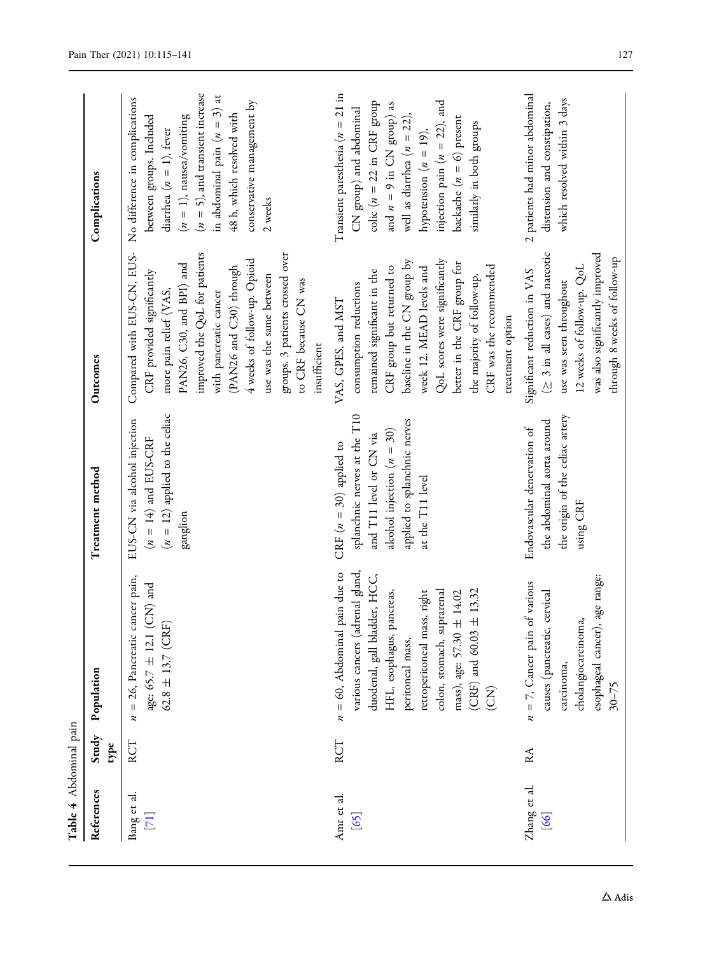<span id="page-12-0"></span>

| Table 4 Abdominal pain |               |                                                                                                                                                                                                                                                                                                         |                                                                                                                                                                          |                                                                                                                                                                                                                                                                                                                                              |                                                                                                                                                                                                                                                                                          |
|------------------------|---------------|---------------------------------------------------------------------------------------------------------------------------------------------------------------------------------------------------------------------------------------------------------------------------------------------------------|--------------------------------------------------------------------------------------------------------------------------------------------------------------------------|----------------------------------------------------------------------------------------------------------------------------------------------------------------------------------------------------------------------------------------------------------------------------------------------------------------------------------------------|------------------------------------------------------------------------------------------------------------------------------------------------------------------------------------------------------------------------------------------------------------------------------------------|
| References             | Study<br>type | Population                                                                                                                                                                                                                                                                                              | Treatment method                                                                                                                                                         | Outcomes                                                                                                                                                                                                                                                                                                                                     | Complications                                                                                                                                                                                                                                                                            |
| Bang et al.<br>$[71]$  | RCT           | cancer pain,<br>$(CN)$ and<br>$62.8 \pm 13.7$ (CRF)<br>$n = 26$ , Pancreatic<br>age: 65.7 $\pm$ 12.1                                                                                                                                                                                                    | $(n = 12)$ applied to the celiac<br>EUS-CN via alcohol injection<br>$(n = 14)$ and EUS-CRF<br>ganglion                                                                   | improved the QoL for patients<br>Compared with EUS-CN, EUS-<br>groups. 3 patients crossed over<br>4 weeks of follow-up. Opioid<br>PAN26, C30, and BPI) and<br>(PAN26 and C30) through<br>CRF provided significantly<br>use was the same between<br>to CRF because CN was<br>more pain relief (VAS,<br>with pancreatic cancer<br>insufficient | $(n = 5)$ , and transient increase<br>in abdominal pain $(n = 3)$ at<br>No difference in complications<br>conservative management by<br>48 h, which resolved with<br>between groups. Included<br>$(n = 1)$ , nausea/vomiting<br>diarrhea $(n = 1)$ , fever<br>2 weeks                    |
| Amr et al.<br>[65]     | RCT           | pain due to<br>various cancers (adrenal gland,<br>duodenal, gall bladder, HCC,<br>± 13.32<br>pancreas,<br>retroperitoneal mass, right<br>colon, stomach, suprarenal<br>mass), age: 57.30 ± 14.02<br>$n = 60$ , Abdominal<br>$(CRF)$ and 60.03<br>HFL, esophagus,<br>peritoneal mass,<br>$\widetilde{E}$ | splanchnic nerves at the T10<br>applied to splanchnic nerves<br>alcohol injection $(n = 30)$<br>and T11 level or CN via<br>CRF $(n = 30)$ applied to<br>at the T11 level | QoL scores were significantly<br>baseline in the CN group by<br>better in the CRF group for<br>CRF group but returned to<br>CRF was the recommended<br>week 12. MEAD levels and<br>remained significant in the<br>the majority of follow-up.<br>consumption reductions<br>VAS, GPES, and MST<br>treatment option                             | Transient paresthesia $(n = 21$ in<br>injection pain ( $n = 22$ ), and<br>colic ( $n = 22$ in CRF group<br>and $n = 9$ in CN group) as<br>CN group) and abdominal<br>well as diarrhea $(n = 22)$ ,<br>backache $(n = 6)$ present<br>similarly in both groups<br>hypotension $(n = 19)$ , |
| Zhang et al.<br>[66]   | RA            | esophageal cancer), age range:<br>$n = 7$ , Cancer pain of various<br>causes (pancreatic, cervical<br>cholangiocarcinoma,<br>carcinoma,<br>$30 - 75$                                                                                                                                                    | the origin of the celiac artery<br>the abdominal aorta around<br>Endovascular denervation of<br>using CRF                                                                | $(\geq 3$ in all cases) and narcotic<br>was also significantly improved<br>through 8 weeks of follow-up<br>12 weeks of follow-up. QoL<br>Significant reduction in VAS<br>use was seen throughout                                                                                                                                             | 2 patients had minor abdominal<br>which resolved within 3 days<br>distension and constipation,                                                                                                                                                                                           |

 $\Delta$ Adis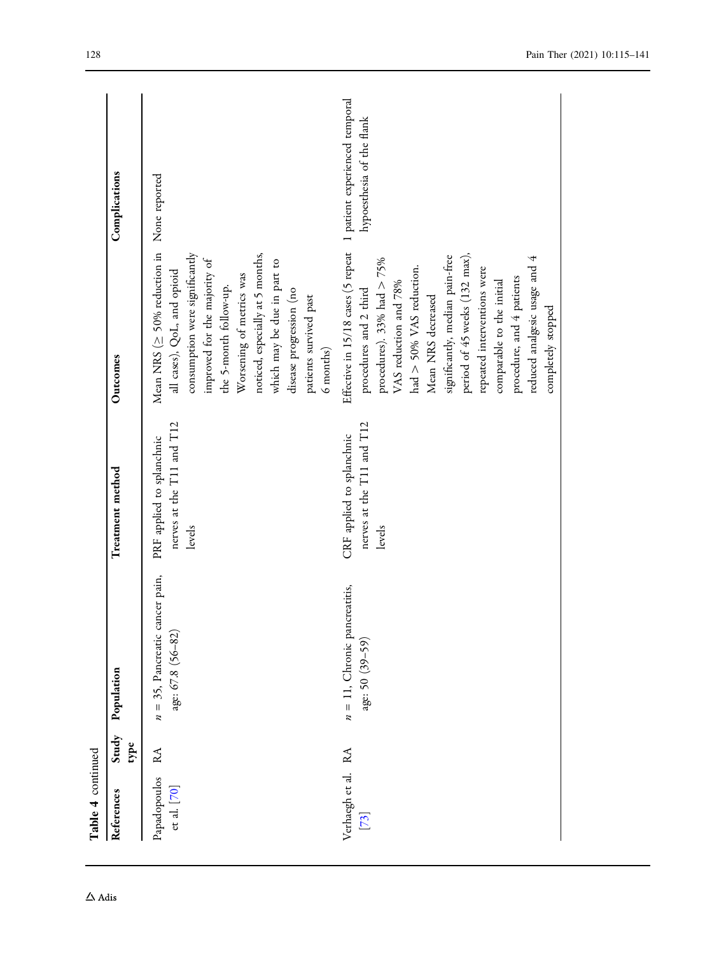| Table 4 continued             |                |                                                            |                                                                  |                                                                                                                                                                                                                                                                                                                                                                                                                               |                           |
|-------------------------------|----------------|------------------------------------------------------------|------------------------------------------------------------------|-------------------------------------------------------------------------------------------------------------------------------------------------------------------------------------------------------------------------------------------------------------------------------------------------------------------------------------------------------------------------------------------------------------------------------|---------------------------|
| References                    | Study<br>type  | Population                                                 | Treatment method                                                 | Outcomes                                                                                                                                                                                                                                                                                                                                                                                                                      | Complications             |
| Papadopoulos<br>et al. $[70]$ | R <sub>A</sub> | cancer pain,<br>age: 67.8 (56-82)<br>$n = 35$ , Pancreatic | nerves at the T11 and T12<br>PRF applied to splanchnic<br>levels | Mean NRS ( $\geq$ 50% reduction in<br>consumption were significantly<br>noticed, especially at 5 months,<br>improved for the majority of<br>which may be due in part to<br>all cases), QoL, and opioid<br>Worsening of metrics was<br>the 5-month follow-up.<br>disease progression (no<br>patients survived past<br>6 months)                                                                                                | None reported             |
| Verhaegh et al. RA<br>$[73]$  |                | $n = 1$ , Chronic pancreatitis,<br>age: 50 (39-59)         | nerves at the T11 and T12<br>CRF applied to splanchnic<br>levels | Effective in 15/18 cases (5 repeat 1 patient experienced temporal<br>period of 45 weeks (132 max),<br>significantly, median pain-free<br>reduced analgesic usage and 4<br>procedures). 33% had $> 75\%$<br>had $>$ 50% VAS reduction.<br>repeated interventions were<br>procedure, and 4 patients<br>comparable to the initial<br>VAS reduction and 78%<br>procedures and 2 third<br>Mean NRS decreased<br>completely stopped | hypoesthesia of the flank |

 $\Delta$ Adis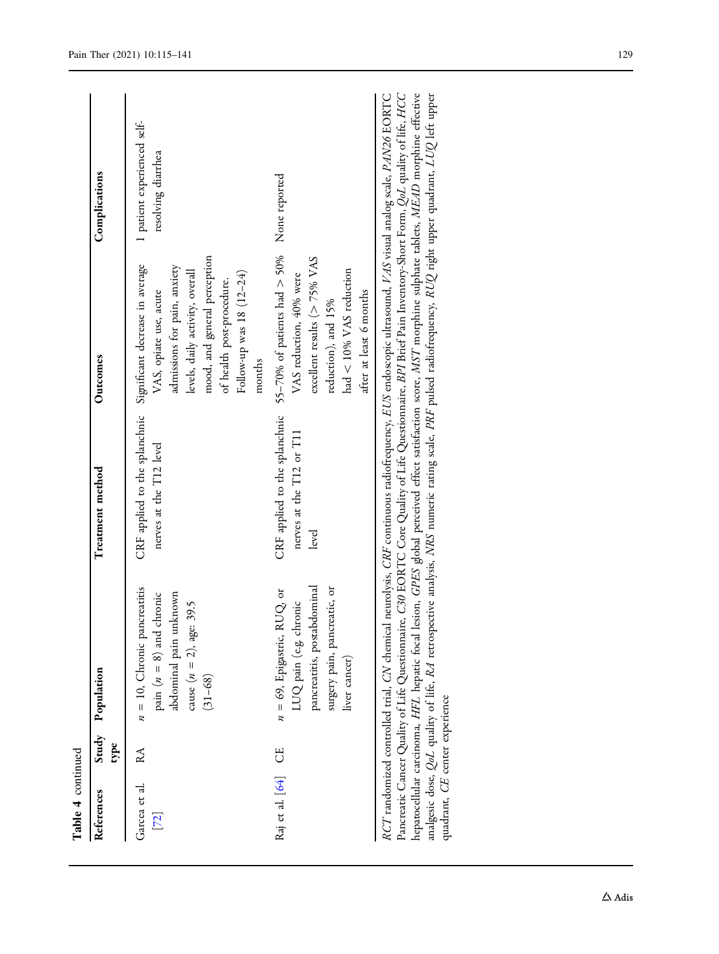| Table 4 continued       |           |                                                                                                                                          |                                                                                                                                                                                                                                                                                                                         |                                                                                                                                                                                                                          |                                                   |
|-------------------------|-----------|------------------------------------------------------------------------------------------------------------------------------------------|-------------------------------------------------------------------------------------------------------------------------------------------------------------------------------------------------------------------------------------------------------------------------------------------------------------------------|--------------------------------------------------------------------------------------------------------------------------------------------------------------------------------------------------------------------------|---------------------------------------------------|
| References              | type      | Study Population                                                                                                                         | Treatment method                                                                                                                                                                                                                                                                                                        | Outcomes                                                                                                                                                                                                                 | Complications                                     |
| Garcea et al.<br>$[72]$ | RA        | $n = 10$ , Chronic pancreatitis<br>abdominal pain unknown<br>pain ( $n = 8$ ) and chronic<br>cause $(n = 2)$ , age: 39.5<br>$(31 - 68)$  | CRF applied to the splanchnic Significant decrease in average<br>nerves at the T12 level                                                                                                                                                                                                                                | mood, and general perception<br>admissions for pain, anxiety<br>levels, daily activity, overall<br>Follow-up was 18 (12-24)<br>of health post-procedure.<br>VAS, opiate use, acute<br>months                             | 1 patient experienced self-<br>resolving diarrhea |
| Raj et al. [64]         | <b>CE</b> | pancreatitis, postabdominal<br>surgery pain, pancreatic, or<br>$n = 69$ , Epigastric, RUQ, or<br>LUQ pain (e.g. chronic<br>liver cancer) | nerves at the T12 or T11<br>level                                                                                                                                                                                                                                                                                       | CRF applied to the splanchnic 55-70% of patients had $>$ 50% None reported<br>excellent results ( $> 75\%$ VAS<br>had $<$ 10% VAS reduction<br>VAS reduction, 40% were<br>after at least 6 months<br>reduction), and 15% |                                                   |
|                         |           |                                                                                                                                          | Pancreatic Cancer Quality of Life Questionnaire, C30 EORTC Core Quality of Life Questionnaire, BPI Brief Pain Inventory-Short Form, QoL quality of life, HCC<br>RCT randomized controlled trial, CN chemical neurolysis, CRF continuous radiofrequency, EUS endoscopic ultrasound, VAS visual analog scale, PAN26 EORTC |                                                                                                                                                                                                                          |                                                   |

Panceatic Cancer Quality of Life Questionnare, C30 EORIC Core Quality of Life Questionnare, *BPL* Brief Pain Inventory-Short Form, *QoL* quality of life, *HCC*<br>hepatocellular carcinoma, *HFL* hepatic focal lesion, GPES glo hepatocellular carcinoma, HFL hepatic focal lesion, GPES global perceived effect satisfaction score, MST morphine sulphate tablets, MEAD morphine effective analgesic dose, *QoL* quality of life, *RA* retrospective analysis, *NRS* numeric rating scale, *PRF* pulsed radiofrequency, *RUQ rig*ht upper quadrant, *LUQ le*ft upper quadrant, CE center experience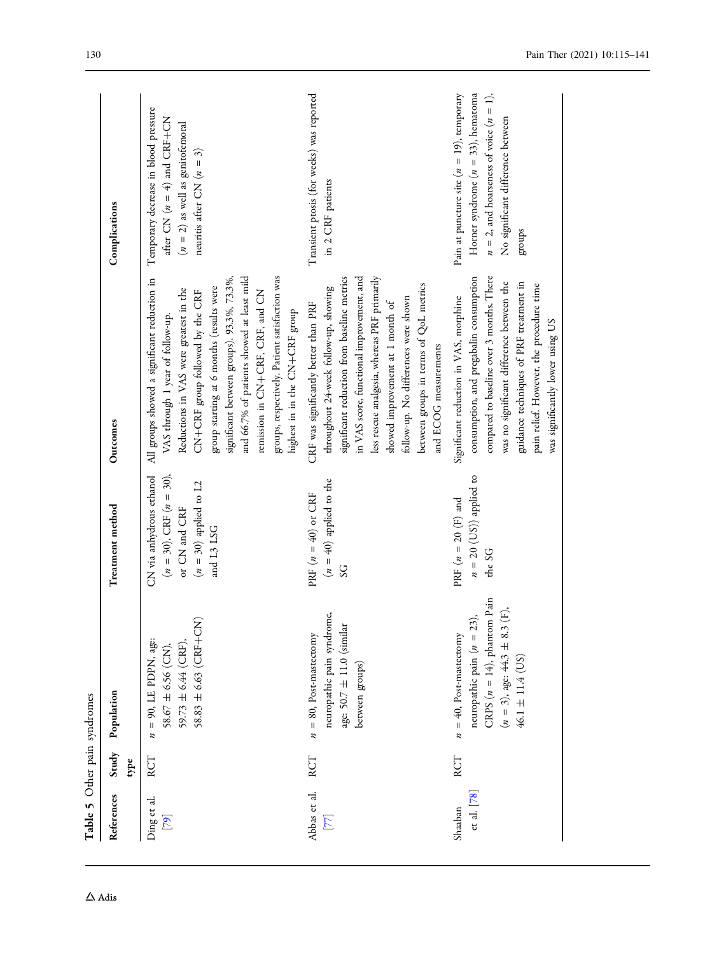<span id="page-15-0"></span>

| Table 5 Other pain syndromes   |               |                                                                                                                                                            |                                                                                                                      |                                                                                                                                                                                                                                                                                                                                                                                                                                |                                                                                                                                                                                                   |
|--------------------------------|---------------|------------------------------------------------------------------------------------------------------------------------------------------------------------|----------------------------------------------------------------------------------------------------------------------|--------------------------------------------------------------------------------------------------------------------------------------------------------------------------------------------------------------------------------------------------------------------------------------------------------------------------------------------------------------------------------------------------------------------------------|---------------------------------------------------------------------------------------------------------------------------------------------------------------------------------------------------|
| References                     | Study<br>type | Population                                                                                                                                                 | Treatment method                                                                                                     | Outcomes                                                                                                                                                                                                                                                                                                                                                                                                                       | Complications                                                                                                                                                                                     |
| Ding et al.<br>$\overline{56}$ | RCT           | $58.83 \pm 6.63$ (CRF+CN)<br>$59.73 \pm 6.44$ (CRF),<br>$n = 90$ , LE PDPN, age:<br>$58.67 \pm 6.56$ (CN),                                                 | $(n = 30)$ , CRF $(n = 30)$ ,<br>CN via anhydrous ethanol<br>$(n = 30)$ applied to L2<br>or CN and CRF<br>and L3 LSG | groups, respectively. Patient satisfaction was<br>and 66.7% of patients showed at least mild<br>significant between groups). 93.3%, 73.3%,<br>All groups showed a significant reduction in<br>group starting at 6 months (results were<br>Reductions in VAS were greatest in the<br>remission in CN+CRF, CRF, and CN<br>CN+CRF group followed by the CRF<br>highest in in the CN+CRF group<br>VAS through 1 year of follow-up. | Temporary decrease in blood pressure<br>$ZO + EC$ and $\left( \frac{4}{5} \right)$ $\frac{1}{2}$ $\frac{1}{2}$ $\frac{1}{2}$<br>$(n = 2)$ as well as genitofemoral<br>neuritis after CN $(n = 3)$ |
| Abbas et al.<br>$[77]$         | RCT           | neuropathic pain syndrome,<br>age: $50.7 \pm 11.0$ (similar<br>$n = 80$ , Post-mastectomy<br>between groups)                                               | $(n = 40)$ applied to the<br>PRF $(n = 40)$ or CRF<br>$\mathcal{S}$                                                  | less rescue analgesia, whereas PRF primarily<br>significant reduction from baseline metrics<br>in VAS score, functional improvement, and<br>between groups in terms of QoL metrics<br>throughout 24-week follow-up, showing<br>follow-up. No differences were shown<br>CRF was significantly better than PRF<br>showed improvement at 1 month of<br>and ECOG measurements                                                      | Transient prosis (for weeks) was reported<br>in 2 CRF patients                                                                                                                                    |
| $et$ al. $[78]$<br>Shaaban     | RCT           | CRPS $(n = 14)$ , phantom Pain<br>Ê,<br>neuropathic pain $(n = 23)$ ,<br>$(n = 3)$ , age: 44.3 ± 8.3<br>$n = 40$ , Post-mastectomy<br>$46.1 \pm 11.4$ (US) | $n = 20$ (US)) applied to<br>PRF $(n = 20$ (F) and<br>the SG                                                         | consumption, and pregabalin consumption<br>compared to baseline over 3 months. There<br>was no significant difference between the<br>guidance techniques of PRF treatment in<br>pain relief. However, the procedure time<br>Significant reduction in VAS, morphine<br>was significantly lower using US                                                                                                                         | Horner syndrome $(n = 33)$ , hematoma<br>Pain at puncture site $(n = 19)$ , temporary<br>$n = 2$ , and hoarseness of voice $(n = 1)$ .<br>No significant difference between<br>groups             |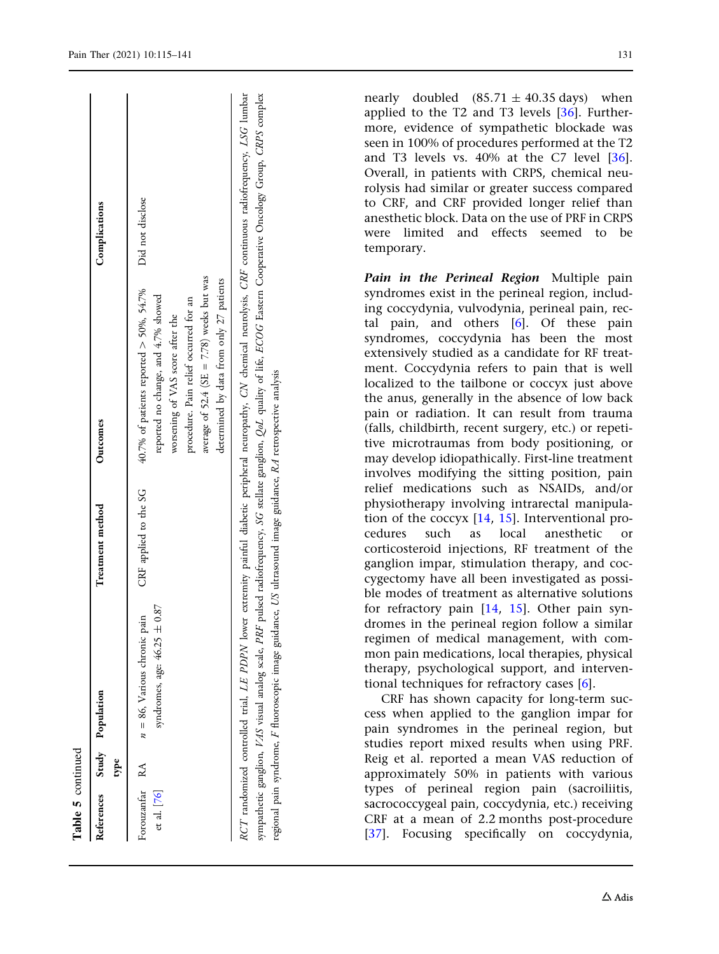| Table 5 continued             |    |                                                                                                                |                       |                                                                                                                                                                                                                                                                                                                                                                |                  |
|-------------------------------|----|----------------------------------------------------------------------------------------------------------------|-----------------------|----------------------------------------------------------------------------------------------------------------------------------------------------------------------------------------------------------------------------------------------------------------------------------------------------------------------------------------------------------------|------------------|
|                               | pe | References Study Population                                                                                    | Treatment method      | Outcomes                                                                                                                                                                                                                                                                                                                                                       | Complications    |
| Forouzanfar RA<br>et al. [76] |    | $\pm 0.87$<br>pain<br>$n = 86$ , Various chronic<br>syndromes, age: 46.25                                      | CRF applied to the SG | average of 52.4 (SE = $7.78$ ) weeks but was<br>determined by data from only 27 patients<br>40.7% of patients reported $>$ 50%, 54.7%<br>reported no change, and 4.7% showed<br>procedure. Pain relief occurred for an<br>worsening of VAS score after the                                                                                                     | Did not disclose |
|                               |    | regional pain syndrome, F fluoroscopic image guidance, US ultrasound image guidance, RA retrospective analysis |                       | sympathetic ganglion, VAS visual analog scale, PRF pulsed radiofrequency, SG stellate ganglion, QoL quality of life, ECOG Eastern Cooperative Oncology Group. CRPS complex<br>RCT randomized controlled trial, <i>LE PDPN</i> lower extremity painful diabetic peripheral neuropathy, CN chemical neurolysis, CRF continuous radiofrequency, <i>LSG</i> lumbar |                  |

nearly doubled  $(85.71 \pm 40.35 \text{ days})$  when applied to the T2 and T3 levels [\[36\]](#page-24-0). Furthermore, evidence of sympathetic blockade was seen in 100% of procedures performed at the T2 and T3 levels vs. 40% at the C7 level [[36](#page-24-0)]. Overall, in patients with CRPS, chemical neurolysis had similar or greater success compared to CRF, and CRF provided longer relief than anesthetic block. Data on the use of PRF in CRPS were limited and effects seemed to be

temporary.

Pain in the Perineal Region Multiple pain syndromes exist in the perineal region, including coccydynia, vulvodynia, perineal pain, rectal pain, and others  $[6]$  $[6]$  $[6]$ . Of these pain syndromes, coccydynia has been the most extensively studied as a candidate for RF treatment. Coccydynia refers to pain that is well localized to the tailbone or coccyx just above the anus, generally in the absence of low back pain or radiation. It can result from trauma (falls, childbirth, recent surgery, etc.) or repetitive microtraumas from body positioning, or may develop idiopathically. First-line treatment involves modifying the sitting position, pain relief medications such as NSAIDs, and/or physiotherapy involving intrarectal manipulation of the coccyx [\[14,](#page-23-0) [15\]](#page-23-0). Interventional procedures such as local anesthetic or corticosteroid injections, RF treatment of the ganglion impar, stimulation therapy, and coccygectomy have all been investigated as possible modes of treatment as alternative solutions for refractory pain [[14](#page-23-0) , [15](#page-23-0)]. Other pain syndromes in the perineal region follow a similar regimen of medical management, with common pain medications, local therapies, physical therapy, psychological support, and interventional techniques for refractory cases [[6\]](#page-22-0).

CRF has shown capacity for long-term success when applied to the ganglion impar for pain syndromes in the perineal region, but studies report mixed results when using PRF. Reig et al. reported a mean VAS reduction of approximately 50% in patients with various types of perineal region pain (sacroiliitis, sacrococcygeal pain, coccydynia, etc.) receiving CRF at a mean of 2.2 months post-procedure [\[37\]](#page-24-0). Focusing specifically on coccydynia,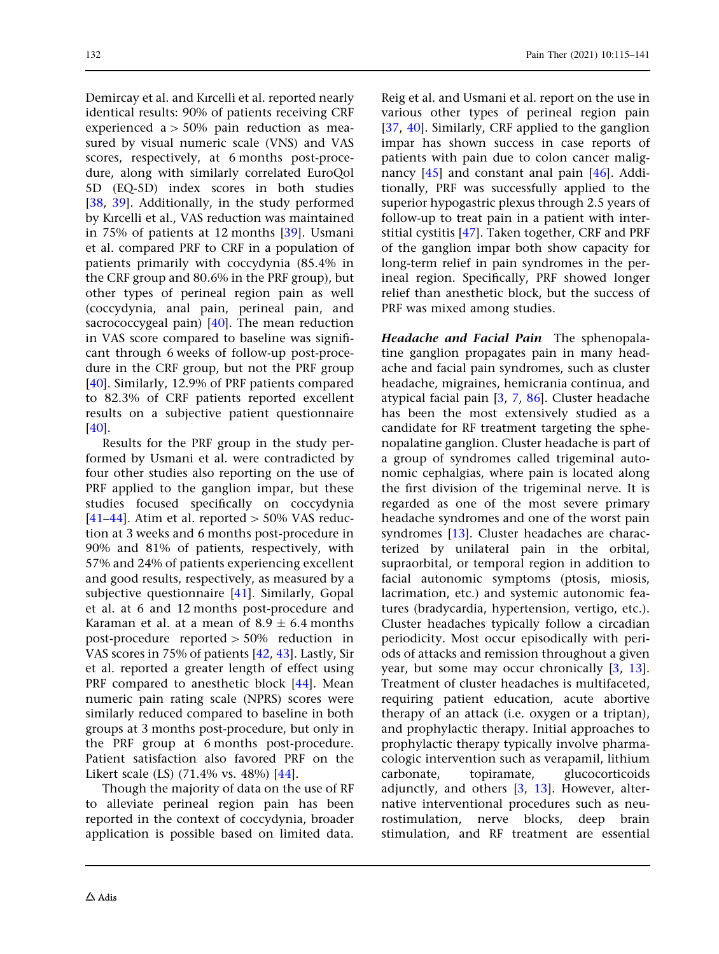Demircay et al. and Kırcelli et al. reported nearly identical results: 90% of patients receiving CRF experienced  $a > 50\%$  pain reduction as measured by visual numeric scale (VNS) and VAS scores, respectively, at 6 months post-procedure, along with similarly correlated EuroQol 5D (EQ-5D) index scores in both studies [\[38,](#page-24-0) [39](#page-24-0)]. Additionally, in the study performed by Kırcelli et al., VAS reduction was maintained in 75% of patients at 12 months [\[39\]](#page-24-0). Usmani et al. compared PRF to CRF in a population of patients primarily with coccydynia (85.4% in the CRF group and 80.6% in the PRF group), but other types of perineal region pain as well (coccydynia, anal pain, perineal pain, and sacrococcygeal pain) [[40](#page-24-0)]. The mean reduction in VAS score compared to baseline was significant through 6 weeks of follow-up post-procedure in the CRF group, but not the PRF group [\[40\]](#page-24-0). Similarly, 12.9% of PRF patients compared to 82.3% of CRF patients reported excellent results on a subjective patient questionnaire [\[40\]](#page-24-0).

Results for the PRF group in the study performed by Usmani et al. were contradicted by four other studies also reporting on the use of PRF applied to the ganglion impar, but these studies focused specifically on coccydynia [\[41–44](#page-24-0)]. Atim et al. reported  $> 50\%$  VAS reduction at 3 weeks and 6 months post-procedure in 90% and 81% of patients, respectively, with 57% and 24% of patients experiencing excellent and good results, respectively, as measured by a subjective questionnaire [\[41](#page-24-0)]. Similarly, Gopal et al. at 6 and 12 months post-procedure and Karaman et al. at a mean of  $8.9 \pm 6.4$  months post-procedure reported  $> 50\%$  reduction in VAS scores in 75% of patients [\[42,](#page-24-0) [43](#page-24-0)]. Lastly, Sir et al. reported a greater length of effect using PRF compared to anesthetic block [[44](#page-24-0)]. Mean numeric pain rating scale (NPRS) scores were similarly reduced compared to baseline in both groups at 3 months post-procedure, but only in the PRF group at 6 months post-procedure. Patient satisfaction also favored PRF on the Likert scale (LS) (71.4% vs. 48%) [\[44\]](#page-24-0).

Though the majority of data on the use of RF to alleviate perineal region pain has been reported in the context of coccydynia, broader application is possible based on limited data. Reig et al. and Usmani et al. report on the use in various other types of perineal region pain [\[37,](#page-24-0) [40\]](#page-24-0). Similarly, CRF applied to the ganglion impar has shown success in case reports of patients with pain due to colon cancer malignancy [\[45\]](#page-24-0) and constant anal pain [\[46\]](#page-24-0). Additionally, PRF was successfully applied to the superior hypogastric plexus through 2.5 years of follow-up to treat pain in a patient with interstitial cystitis [\[47](#page-24-0)]. Taken together, CRF and PRF of the ganglion impar both show capacity for long-term relief in pain syndromes in the perineal region. Specifically, PRF showed longer relief than anesthetic block, but the success of PRF was mixed among studies.

Headache and Facial Pain The sphenopalatine ganglion propagates pain in many headache and facial pain syndromes, such as cluster headache, migraines, hemicrania continua, and atypical facial pain [\[3,](#page-22-0) [7,](#page-22-0) [86\]](#page-26-0). Cluster headache has been the most extensively studied as a candidate for RF treatment targeting the sphenopalatine ganglion. Cluster headache is part of a group of syndromes called trigeminal autonomic cephalgias, where pain is located along the first division of the trigeminal nerve. It is regarded as one of the most severe primary headache syndromes and one of the worst pain syndromes [\[13\]](#page-23-0). Cluster headaches are characterized by unilateral pain in the orbital, supraorbital, or temporal region in addition to facial autonomic symptoms (ptosis, miosis, lacrimation, etc.) and systemic autonomic features (bradycardia, hypertension, vertigo, etc.). Cluster headaches typically follow a circadian periodicity. Most occur episodically with periods of attacks and remission throughout a given year, but some may occur chronically [[3](#page-22-0), [13](#page-23-0)]. Treatment of cluster headaches is multifaceted, requiring patient education, acute abortive therapy of an attack (i.e. oxygen or a triptan), and prophylactic therapy. Initial approaches to prophylactic therapy typically involve pharmacologic intervention such as verapamil, lithium carbonate, topiramate, glucocorticoids adjunctly, and others [[3](#page-22-0), [13\]](#page-23-0). However, alternative interventional procedures such as neurostimulation, nerve blocks, deep brain stimulation, and RF treatment are essential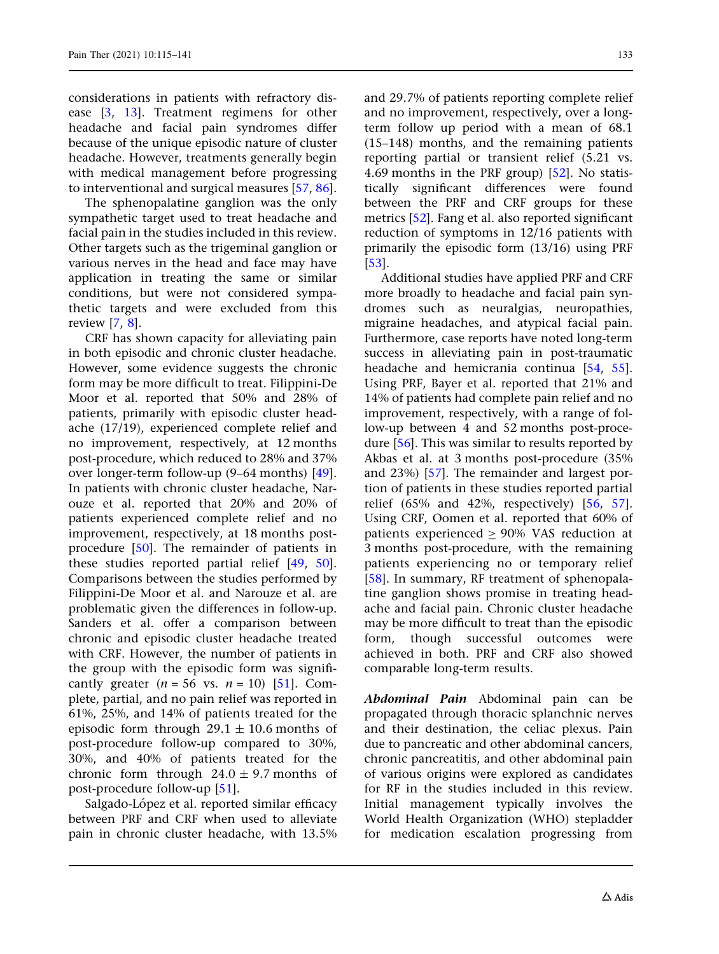considerations in patients with refractory disease [[3](#page-22-0), [13](#page-23-0)]. Treatment regimens for other headache and facial pain syndromes differ because of the unique episodic nature of cluster headache. However, treatments generally begin with medical management before progressing to interventional and surgical measures [[57](#page-25-0), [86\]](#page-26-0).

The sphenopalatine ganglion was the only sympathetic target used to treat headache and facial pain in the studies included in this review. Other targets such as the trigeminal ganglion or various nerves in the head and face may have application in treating the same or similar conditions, but were not considered sympathetic targets and were excluded from this review [[7](#page-22-0), [8](#page-22-0)].

CRF has shown capacity for alleviating pain in both episodic and chronic cluster headache. However, some evidence suggests the chronic form may be more difficult to treat. Filippini-De Moor et al. reported that 50% and 28% of patients, primarily with episodic cluster headache (17/19), experienced complete relief and no improvement, respectively, at 12 months post-procedure, which reduced to 28% and 37% over longer-term follow-up (9–64 months) [[49\]](#page-24-0). In patients with chronic cluster headache, Narouze et al. reported that 20% and 20% of patients experienced complete relief and no improvement, respectively, at 18 months postprocedure [\[50\]](#page-24-0). The remainder of patients in these studies reported partial relief [[49](#page-24-0), [50\]](#page-24-0). Comparisons between the studies performed by Filippini-De Moor et al. and Narouze et al. are problematic given the differences in follow-up. Sanders et al. offer a comparison between chronic and episodic cluster headache treated with CRF. However, the number of patients in the group with the episodic form was significantly greater  $(n = 56 \text{ vs. } n = 10)$  [\[51\]](#page-24-0). Complete, partial, and no pain relief was reported in 61%, 25%, and 14% of patients treated for the episodic form through  $29.1 \pm 10.6$  months of post-procedure follow-up compared to 30%, 30%, and 40% of patients treated for the chronic form through  $24.0 \pm 9.7$  months of post-procedure follow-up [\[51\]](#page-24-0).

Salgado-López et al. reported similar efficacy between PRF and CRF when used to alleviate pain in chronic cluster headache, with 13.5%

and 29.7% of patients reporting complete relief and no improvement, respectively, over a longterm follow up period with a mean of 68.1 (15–148) months, and the remaining patients reporting partial or transient relief (5.21 vs. 4.69 months in the PRF group) [[52](#page-24-0)]. No statistically significant differences were found between the PRF and CRF groups for these metrics [\[52](#page-24-0)]. Fang et al. also reported significant reduction of symptoms in 12/16 patients with primarily the episodic form (13/16) using PRF [\[53\]](#page-24-0).

Additional studies have applied PRF and CRF more broadly to headache and facial pain syndromes such as neuralgias, neuropathies, migraine headaches, and atypical facial pain. Furthermore, case reports have noted long-term success in alleviating pain in post-traumatic headache and hemicrania continua [\[54,](#page-25-0) [55](#page-25-0)]. Using PRF, Bayer et al. reported that 21% and 14% of patients had complete pain relief and no improvement, respectively, with a range of follow-up between 4 and 52 months post-procedure [[56](#page-25-0)]. This was similar to results reported by Akbas et al. at 3 months post-procedure (35% and 23%) [[57](#page-25-0)]. The remainder and largest portion of patients in these studies reported partial relief (65% and 42%, respectively) [[56](#page-25-0), [57](#page-25-0)]. Using CRF, Oomen et al. reported that 60% of patients experienced  $> 90\%$  VAS reduction at 3 months post-procedure, with the remaining patients experiencing no or temporary relief [\[58\]](#page-25-0). In summary, RF treatment of sphenopalatine ganglion shows promise in treating headache and facial pain. Chronic cluster headache may be more difficult to treat than the episodic form, though successful outcomes were achieved in both. PRF and CRF also showed comparable long-term results.

Abdominal Pain Abdominal pain can be propagated through thoracic splanchnic nerves and their destination, the celiac plexus. Pain due to pancreatic and other abdominal cancers, chronic pancreatitis, and other abdominal pain of various origins were explored as candidates for RF in the studies included in this review. Initial management typically involves the World Health Organization (WHO) stepladder for medication escalation progressing from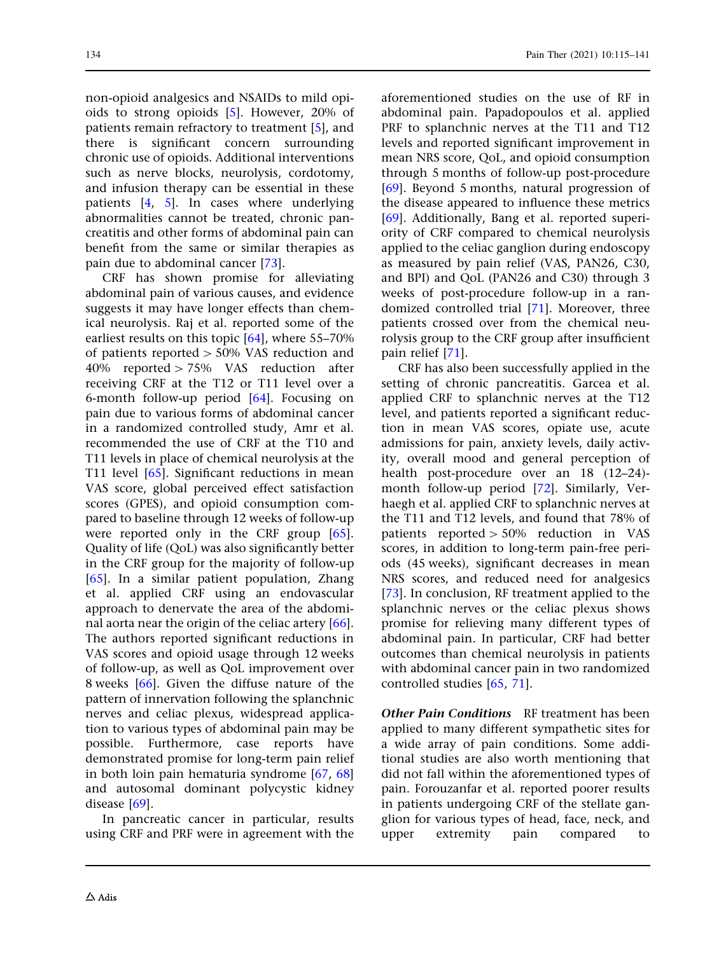non-opioid analgesics and NSAIDs to mild opioids to strong opioids [\[5\]](#page-22-0). However, 20% of patients remain refractory to treatment [[5](#page-22-0)], and there is significant concern surrounding chronic use of opioids. Additional interventions such as nerve blocks, neurolysis, cordotomy, and infusion therapy can be essential in these patients [[4](#page-22-0), [5](#page-22-0)]. In cases where underlying abnormalities cannot be treated, chronic pancreatitis and other forms of abdominal pain can benefit from the same or similar therapies as pain due to abdominal cancer [[73](#page-25-0)].

CRF has shown promise for alleviating abdominal pain of various causes, and evidence suggests it may have longer effects than chemical neurolysis. Raj et al. reported some of the earliest results on this topic [[64](#page-25-0)], where 55–70% of patients reported  $>$  50% VAS reduction and  $40\%$  reported  $> 75\%$  VAS reduction after receiving CRF at the T12 or T11 level over a 6-month follow-up period [\[64\]](#page-25-0). Focusing on pain due to various forms of abdominal cancer in a randomized controlled study, Amr et al. recommended the use of CRF at the T10 and T11 levels in place of chemical neurolysis at the T11 level [[65](#page-25-0)]. Significant reductions in mean VAS score, global perceived effect satisfaction scores (GPES), and opioid consumption compared to baseline through 12 weeks of follow-up were reported only in the CRF group [[65](#page-25-0)]. Quality of life (QoL) was also significantly better in the CRF group for the majority of follow-up [\[65\]](#page-25-0). In a similar patient population, Zhang et al. applied CRF using an endovascular approach to denervate the area of the abdominal aorta near the origin of the celiac artery [[66](#page-25-0)]. The authors reported significant reductions in VAS scores and opioid usage through 12 weeks of follow-up, as well as QoL improvement over 8 weeks [\[66](#page-25-0)]. Given the diffuse nature of the pattern of innervation following the splanchnic nerves and celiac plexus, widespread application to various types of abdominal pain may be possible. Furthermore, case reports have demonstrated promise for long-term pain relief in both loin pain hematuria syndrome [[67](#page-25-0), [68](#page-25-0)] and autosomal dominant polycystic kidney disease [[69](#page-25-0)].

In pancreatic cancer in particular, results using CRF and PRF were in agreement with the aforementioned studies on the use of RF in abdominal pain. Papadopoulos et al. applied PRF to splanchnic nerves at the T11 and T12 levels and reported significant improvement in mean NRS score, QoL, and opioid consumption through 5 months of follow-up post-procedure [\[69\]](#page-25-0). Beyond 5 months, natural progression of the disease appeared to influence these metrics [\[69\]](#page-25-0). Additionally, Bang et al. reported superiority of CRF compared to chemical neurolysis applied to the celiac ganglion during endoscopy as measured by pain relief (VAS, PAN26, C30, and BPI) and QoL (PAN26 and C30) through 3 weeks of post-procedure follow-up in a randomized controlled trial [\[71\]](#page-25-0). Moreover, three patients crossed over from the chemical neurolysis group to the CRF group after insufficient pain relief [\[71\]](#page-25-0).

CRF has also been successfully applied in the setting of chronic pancreatitis. Garcea et al. applied CRF to splanchnic nerves at the T12 level, and patients reported a significant reduction in mean VAS scores, opiate use, acute admissions for pain, anxiety levels, daily activity, overall mood and general perception of health post-procedure over an 18 (12–24) month follow-up period [[72](#page-25-0)]. Similarly, Verhaegh et al. applied CRF to splanchnic nerves at the T11 and T12 levels, and found that 78% of patients reported  $> 50\%$  reduction in VAS scores, in addition to long-term pain-free periods (45 weeks), significant decreases in mean NRS scores, and reduced need for analgesics [\[73\]](#page-25-0). In conclusion, RF treatment applied to the splanchnic nerves or the celiac plexus shows promise for relieving many different types of abdominal pain. In particular, CRF had better outcomes than chemical neurolysis in patients with abdominal cancer pain in two randomized controlled studies [\[65,](#page-25-0) [71](#page-25-0)].

**Other Pain Conditions** RF treatment has been applied to many different sympathetic sites for a wide array of pain conditions. Some additional studies are also worth mentioning that did not fall within the aforementioned types of pain. Forouzanfar et al. reported poorer results in patients undergoing CRF of the stellate ganglion for various types of head, face, neck, and upper extremity pain compared to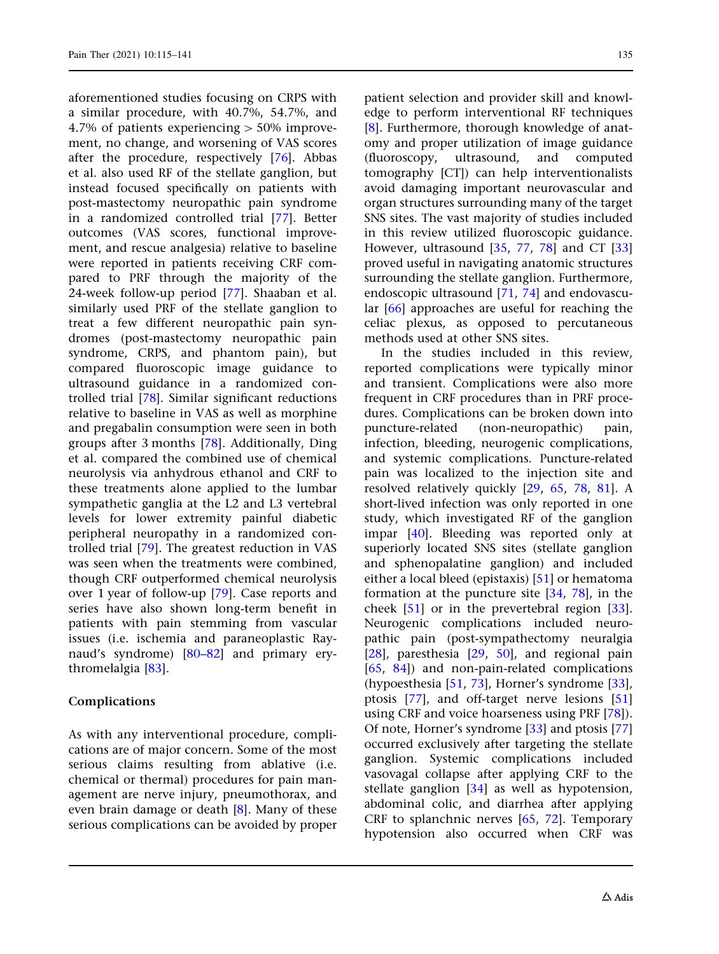aforementioned studies focusing on CRPS with a similar procedure, with 40.7%, 54.7%, and 4.7% of patients experiencing  $> 50\%$  improvement, no change, and worsening of VAS scores after the procedure, respectively [\[76\]](#page-26-0). Abbas et al. also used RF of the stellate ganglion, but instead focused specifically on patients with post-mastectomy neuropathic pain syndrome in a randomized controlled trial [[77](#page-26-0)]. Better outcomes (VAS scores, functional improvement, and rescue analgesia) relative to baseline were reported in patients receiving CRF compared to PRF through the majority of the 24-week follow-up period [[77](#page-26-0)]. Shaaban et al. similarly used PRF of the stellate ganglion to treat a few different neuropathic pain syndromes (post-mastectomy neuropathic pain syndrome, CRPS, and phantom pain), but compared fluoroscopic image guidance to ultrasound guidance in a randomized controlled trial [\[78\]](#page-26-0). Similar significant reductions relative to baseline in VAS as well as morphine and pregabalin consumption were seen in both groups after 3 months [\[78\]](#page-26-0). Additionally, Ding et al. compared the combined use of chemical neurolysis via anhydrous ethanol and CRF to these treatments alone applied to the lumbar sympathetic ganglia at the L2 and L3 vertebral levels for lower extremity painful diabetic peripheral neuropathy in a randomized controlled trial [[79](#page-26-0)]. The greatest reduction in VAS was seen when the treatments were combined, though CRF outperformed chemical neurolysis over 1 year of follow-up [[79](#page-26-0)]. Case reports and series have also shown long-term benefit in patients with pain stemming from vascular issues (i.e. ischemia and paraneoplastic Raynaud's syndrome) [[80–82\]](#page-26-0) and primary erythromelalgia [[83](#page-26-0)].

#### Complications

As with any interventional procedure, complications are of major concern. Some of the most serious claims resulting from ablative (i.e. chemical or thermal) procedures for pain management are nerve injury, pneumothorax, and even brain damage or death [\[8](#page-22-0)]. Many of these serious complications can be avoided by proper patient selection and provider skill and knowledge to perform interventional RF techniques [\[8\]](#page-22-0). Furthermore, thorough knowledge of anatomy and proper utilization of image guidance (fluoroscopy, ultrasound, and computed tomography [CT]) can help interventionalists avoid damaging important neurovascular and organ structures surrounding many of the target SNS sites. The vast majority of studies included in this review utilized fluoroscopic guidance. However, ultrasound  $[35, 77, 78]$  $[35, 77, 78]$  $[35, 77, 78]$  $[35, 77, 78]$  $[35, 77, 78]$  $[35, 77, 78]$  and CT  $[33]$  $[33]$  $[33]$ proved useful in navigating anatomic structures surrounding the stellate ganglion. Furthermore, endoscopic ultrasound [[71](#page-25-0), [74](#page-26-0)] and endovascular [\[66\]](#page-25-0) approaches are useful for reaching the celiac plexus, as opposed to percutaneous methods used at other SNS sites.

In the studies included in this review, reported complications were typically minor and transient. Complications were also more frequent in CRF procedures than in PRF procedures. Complications can be broken down into puncture-related (non-neuropathic) pain, infection, bleeding, neurogenic complications, and systemic complications. Puncture-related pain was localized to the injection site and resolved relatively quickly [\[29,](#page-23-0) [65](#page-25-0), [78,](#page-26-0) [81](#page-26-0)]. A short-lived infection was only reported in one study, which investigated RF of the ganglion impar [[40](#page-24-0)]. Bleeding was reported only at superiorly located SNS sites (stellate ganglion and sphenopalatine ganglion) and included either a local bleed (epistaxis) [\[51\]](#page-24-0) or hematoma formation at the puncture site [\[34,](#page-24-0) [78](#page-26-0)], in the cheek [\[51\]](#page-24-0) or in the prevertebral region [[33](#page-23-0)]. Neurogenic complications included neuropathic pain (post-sympathectomy neuralgia [\[28\]](#page-23-0), paresthesia [[29,](#page-23-0) [50\]](#page-24-0), and regional pain [\[65,](#page-25-0) [84](#page-26-0)]) and non-pain-related complications (hypoesthesia [\[51,](#page-24-0) [73](#page-25-0)], Horner's syndrome [[33](#page-23-0)], ptosis [[77\]](#page-26-0), and off-target nerve lesions [[51](#page-24-0)] using CRF and voice hoarseness using PRF [\[78\]](#page-26-0)). Of note, Horner's syndrome [[33\]](#page-23-0) and ptosis [[77](#page-26-0)] occurred exclusively after targeting the stellate ganglion. Systemic complications included vasovagal collapse after applying CRF to the stellate ganglion [[34](#page-24-0)] as well as hypotension, abdominal colic, and diarrhea after applying CRF to splanchnic nerves [[65](#page-25-0), [72\]](#page-25-0). Temporary hypotension also occurred when CRF was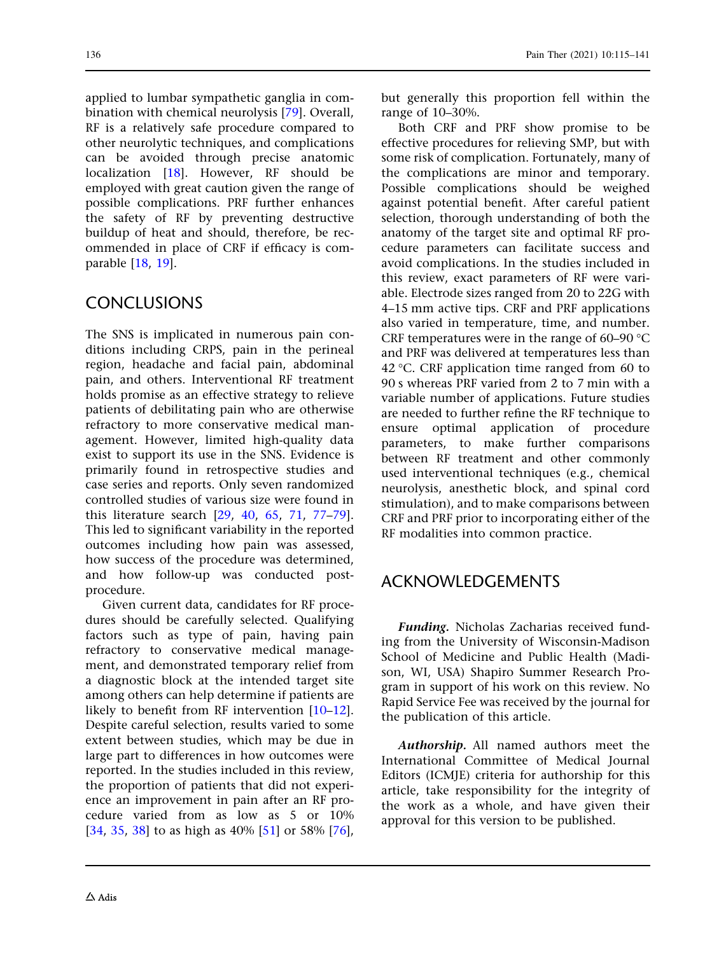applied to lumbar sympathetic ganglia in combination with chemical neurolysis [\[79\]](#page-26-0). Overall, RF is a relatively safe procedure compared to other neurolytic techniques, and complications can be avoided through precise anatomic localization [\[18\]](#page-23-0). However, RF should be employed with great caution given the range of possible complications. PRF further enhances the safety of RF by preventing destructive buildup of heat and should, therefore, be recommended in place of CRF if efficacy is comparable [[18,](#page-23-0) [19\]](#page-23-0).

# CONCLUSIONS

The SNS is implicated in numerous pain conditions including CRPS, pain in the perineal region, headache and facial pain, abdominal pain, and others. Interventional RF treatment holds promise as an effective strategy to relieve patients of debilitating pain who are otherwise refractory to more conservative medical management. However, limited high-quality data exist to support its use in the SNS. Evidence is primarily found in retrospective studies and case series and reports. Only seven randomized controlled studies of various size were found in this literature search [\[29,](#page-23-0) [40](#page-24-0), [65](#page-25-0), [71,](#page-25-0) [77–79](#page-26-0)]. This led to significant variability in the reported outcomes including how pain was assessed, how success of the procedure was determined, and how follow-up was conducted postprocedure.

Given current data, candidates for RF procedures should be carefully selected. Qualifying factors such as type of pain, having pain refractory to conservative medical management, and demonstrated temporary relief from a diagnostic block at the intended target site among others can help determine if patients are likely to benefit from RF intervention [\[10–12](#page-22-0)]. Despite careful selection, results varied to some extent between studies, which may be due in large part to differences in how outcomes were reported. In the studies included in this review, the proportion of patients that did not experience an improvement in pain after an RF procedure varied from as low as 5 or 10% [\[34,](#page-24-0) [35](#page-24-0), [38\]](#page-24-0) to as high as 40% [\[51\]](#page-24-0) or 58% [[76](#page-26-0)],

but generally this proportion fell within the range of 10–30%.

Both CRF and PRF show promise to be effective procedures for relieving SMP, but with some risk of complication. Fortunately, many of the complications are minor and temporary. Possible complications should be weighed against potential benefit. After careful patient selection, thorough understanding of both the anatomy of the target site and optimal RF procedure parameters can facilitate success and avoid complications. In the studies included in this review, exact parameters of RF were variable. Electrode sizes ranged from 20 to 22G with 4–15 mm active tips. CRF and PRF applications also varied in temperature, time, and number. CRF temperatures were in the range of 60–90  $\degree$ C and PRF was delivered at temperatures less than 42 °C. CRF application time ranged from 60 to 90 s whereas PRF varied from 2 to 7 min with a variable number of applications. Future studies are needed to further refine the RF technique to ensure optimal application of procedure parameters, to make further comparisons between RF treatment and other commonly used interventional techniques (e.g., chemical neurolysis, anesthetic block, and spinal cord stimulation), and to make comparisons between CRF and PRF prior to incorporating either of the RF modalities into common practice.

# ACKNOWLEDGEMENTS

Funding. Nicholas Zacharias received funding from the University of Wisconsin-Madison School of Medicine and Public Health (Madison, WI, USA) Shapiro Summer Research Program in support of his work on this review. No Rapid Service Fee was received by the journal for the publication of this article.

Authorship. All named authors meet the International Committee of Medical Journal Editors (ICMJE) criteria for authorship for this article, take responsibility for the integrity of the work as a whole, and have given their approval for this version to be published.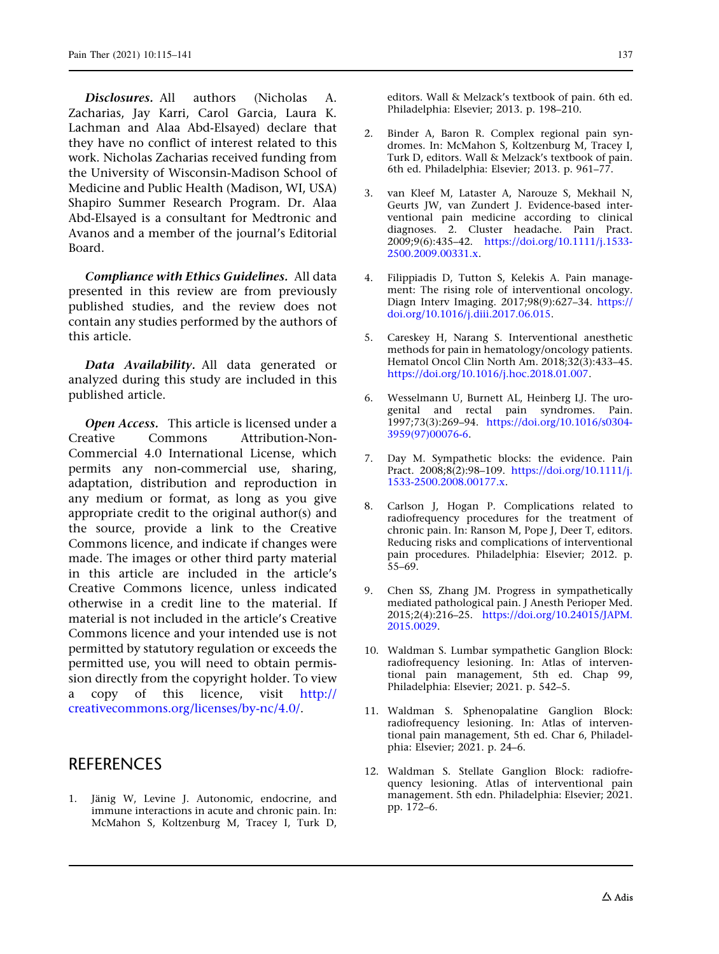<span id="page-22-0"></span>Disclosures. All authors (Nicholas A. Zacharias, Jay Karri, Carol Garcia, Laura K. Lachman and Alaa Abd-Elsayed) declare that they have no conflict of interest related to this work. Nicholas Zacharias received funding from the University of Wisconsin-Madison School of Medicine and Public Health (Madison, WI, USA) Shapiro Summer Research Program. Dr. Alaa Abd-Elsayed is a consultant for Medtronic and Avanos and a member of the journal's Editorial Board.

Compliance with Ethics Guidelines. All data presented in this review are from previously published studies, and the review does not contain any studies performed by the authors of this article.

Data Availability. All data generated or analyzed during this study are included in this published article.

Open Access. This article is licensed under a Creative Commons Attribution-Non-Commercial 4.0 International License, which permits any non-commercial use, sharing, adaptation, distribution and reproduction in any medium or format, as long as you give appropriate credit to the original author(s) and the source, provide a link to the Creative Commons licence, and indicate if changes were made. The images or other third party material in this article are included in the article's Creative Commons licence, unless indicated otherwise in a credit line to the material. If material is not included in the article's Creative Commons licence and your intended use is not permitted by statutory regulation or exceeds the permitted use, you will need to obtain permission directly from the copyright holder. To view a copy of this licence, visit [http://](http://creativecommons.org/licenses/by-nc/4.0/) [creativecommons.org/licenses/by-nc/4.0/.](http://creativecommons.org/licenses/by-nc/4.0/)

### **REFERENCES**

1. Jänig W, Levine J. Autonomic, endocrine, and immune interactions in acute and chronic pain. In: McMahon S, Koltzenburg M, Tracey I, Turk D,

editors. Wall & Melzack's textbook of pain. 6th ed. Philadelphia: Elsevier; 2013. p. 198–210.

- 2. Binder A, Baron R. Complex regional pain syndromes. In: McMahon S, Koltzenburg M, Tracey I, Turk D, editors. Wall & Melzack's textbook of pain. 6th ed. Philadelphia: Elsevier; 2013. p. 961–77.
- 3. van Kleef M, Lataster A, Narouze S, Mekhail N, Geurts JW, van Zundert J. Evidence-based interventional pain medicine according to clinical diagnoses. 2. Cluster headache. Pain Pract. 2009;9(6):435–42. [https://doi.org/10.1111/j.1533-](https://doi.org/10.1111/j.1533-2500.2009.00331.x) [2500.2009.00331.x](https://doi.org/10.1111/j.1533-2500.2009.00331.x).
- 4. Filippiadis D, Tutton S, Kelekis A. Pain management: The rising role of interventional oncology. Diagn Interv Imaging. 2017;98(9):627–34. [https://](https://doi.org/10.1016/j.diii.2017.06.015) [doi.org/10.1016/j.diii.2017.06.015.](https://doi.org/10.1016/j.diii.2017.06.015)
- 5. Careskey H, Narang S. Interventional anesthetic methods for pain in hematology/oncology patients. Hematol Oncol Clin North Am. 2018;32(3):433–45. [https://doi.org/10.1016/j.hoc.2018.01.007.](https://doi.org/10.1016/j.hoc.2018.01.007)
- 6. Wesselmann U, Burnett AL, Heinberg LJ. The urogenital and rectal pain syndromes. Pain. 1997;73(3):269–94. [https://doi.org/10.1016/s0304-](https://doi.org/10.1016/s0304-3959(97)00076-6) [3959\(97\)00076-6](https://doi.org/10.1016/s0304-3959(97)00076-6).
- 7. Day M. Sympathetic blocks: the evidence. Pain Pract. 2008;8(2):98–109. [https://doi.org/10.1111/j.](https://doi.org/10.1111/j.1533-2500.2008.00177.x) [1533-2500.2008.00177.x.](https://doi.org/10.1111/j.1533-2500.2008.00177.x)
- 8. Carlson J, Hogan P. Complications related to radiofrequency procedures for the treatment of chronic pain. In: Ranson M, Pope J, Deer T, editors. Reducing risks and complications of interventional pain procedures. Philadelphia: Elsevier; 2012. p.  $55-69.$
- 9. Chen SS, Zhang JM. Progress in sympathetically mediated pathological pain. J Anesth Perioper Med. 2015;2(4):216–25. [https://doi.org/10.24015/JAPM.](https://doi.org/10.24015/JAPM.2015.0029) [2015.0029](https://doi.org/10.24015/JAPM.2015.0029).
- 10. Waldman S. Lumbar sympathetic Ganglion Block: radiofrequency lesioning. In: Atlas of interventional pain management, 5th ed. Chap 99, Philadelphia: Elsevier; 2021. p. 542–5.
- 11. Waldman S. Sphenopalatine Ganglion Block: radiofrequency lesioning. In: Atlas of interventional pain management, 5th ed. Char 6, Philadelphia: Elsevier; 2021. p. 24–6.
- 12. Waldman S. Stellate Ganglion Block: radiofrequency lesioning. Atlas of interventional pain management. 5th edn. Philadelphia: Elsevier; 2021. pp. 172–6.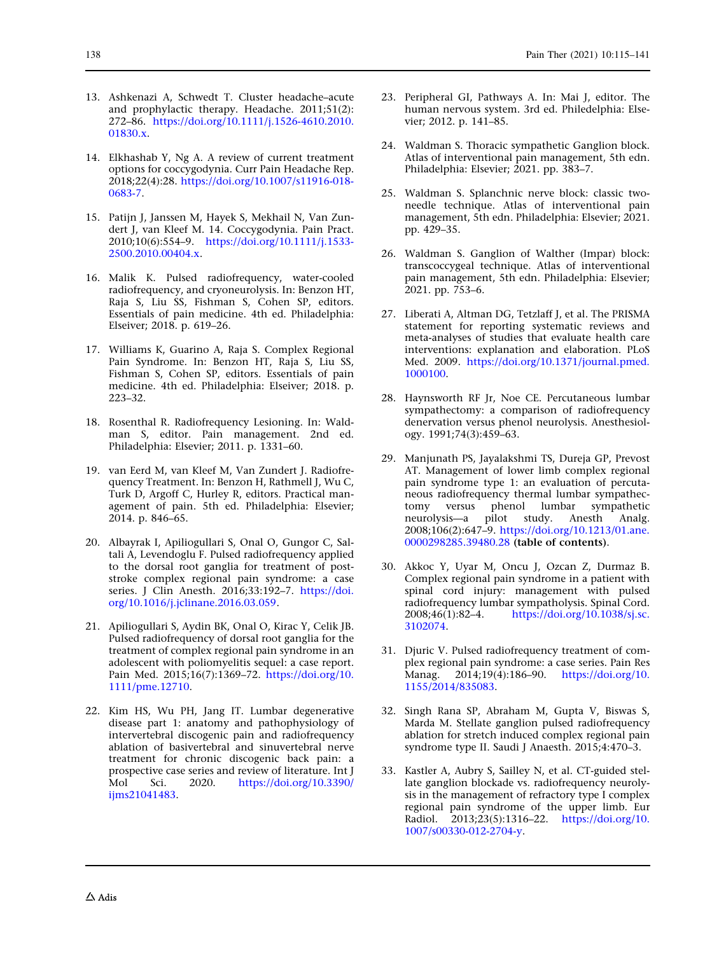- <span id="page-23-0"></span>13. Ashkenazi A, Schwedt T. Cluster headache–acute and prophylactic therapy. Headache. 2011;51(2): 272–86. [https://doi.org/10.1111/j.1526-4610.2010.](https://doi.org/10.1111/j.1526-4610.2010.01830.x) [01830.x.](https://doi.org/10.1111/j.1526-4610.2010.01830.x)
- 14. Elkhashab Y, Ng A. A review of current treatment options for coccygodynia. Curr Pain Headache Rep. 2018;22(4):28. [https://doi.org/10.1007/s11916-018-](https://doi.org/10.1007/s11916-018-0683-7) [0683-7](https://doi.org/10.1007/s11916-018-0683-7).
- 15. Patijn J, Janssen M, Hayek S, Mekhail N, Van Zundert J, van Kleef M. 14. Coccygodynia. Pain Pract. 2010;10(6):554–9. [https://doi.org/10.1111/j.1533-](https://doi.org/10.1111/j.1533-2500.2010.00404.x) [2500.2010.00404.x](https://doi.org/10.1111/j.1533-2500.2010.00404.x).
- 16. Malik K. Pulsed radiofrequency, water-cooled radiofrequency, and cryoneurolysis. In: Benzon HT, Raja S, Liu SS, Fishman S, Cohen SP, editors. Essentials of pain medicine. 4th ed. Philadelphia: Elseiver; 2018. p. 619–26.
- 17. Williams K, Guarino A, Raja S. Complex Regional Pain Syndrome. In: Benzon HT, Raja S, Liu SS, Fishman S, Cohen SP, editors. Essentials of pain medicine. 4th ed. Philadelphia: Elseiver; 2018. p. 223–32.
- 18. Rosenthal R. Radiofrequency Lesioning. In: Waldman S, editor. Pain management. 2nd ed. Philadelphia: Elsevier; 2011. p. 1331-60.
- 19. van Eerd M, van Kleef M, Van Zundert J. Radiofrequency Treatment. In: Benzon H, Rathmell J, Wu C, Turk D, Argoff C, Hurley R, editors. Practical management of pain. 5th ed. Philadelphia: Elsevier; 2014. p. 846–65.
- 20. Albayrak I, Apiliogullari S, Onal O, Gungor C, Saltali A, Levendoglu F. Pulsed radiofrequency applied to the dorsal root ganglia for treatment of poststroke complex regional pain syndrome: a case series. J Clin Anesth. 2016;33:192–7. [https://doi.](https://doi.org/10.1016/j.jclinane.2016.03.059) [org/10.1016/j.jclinane.2016.03.059](https://doi.org/10.1016/j.jclinane.2016.03.059).
- 21. Apiliogullari S, Aydin BK, Onal O, Kirac Y, Celik JB. Pulsed radiofrequency of dorsal root ganglia for the treatment of complex regional pain syndrome in an adolescent with poliomyelitis sequel: a case report. Pain Med. 2015;16(7):1369–72. [https://doi.org/10.](https://doi.org/10.1111/pme.12710) [1111/pme.12710.](https://doi.org/10.1111/pme.12710)
- 22. Kim HS, Wu PH, Jang IT. Lumbar degenerative disease part 1: anatomy and pathophysiology of intervertebral discogenic pain and radiofrequency ablation of basivertebral and sinuvertebral nerve treatment for chronic discogenic back pain: a prospective case series and review of literature. Int J Mol Sci. 2020. [https://doi.org/10.3390/](https://doi.org/10.3390/ijms21041483) [ijms21041483.](https://doi.org/10.3390/ijms21041483)
- 23. Peripheral GI, Pathways A. In: Mai J, editor. The human nervous system. 3rd ed. Philedelphia: Elsevier; 2012. p. 141–85.
- 24. Waldman S. Thoracic sympathetic Ganglion block. Atlas of interventional pain management, 5th edn. Philadelphia: Elsevier; 2021. pp. 383-7.
- 25. Waldman S. Splanchnic nerve block: classic twoneedle technique. Atlas of interventional pain management, 5th edn. Philadelphia: Elsevier; 2021. pp. 429–35.
- 26. Waldman S. Ganglion of Walther (Impar) block: transcoccygeal technique. Atlas of interventional pain management, 5th edn. Philadelphia: Elsevier; 2021. pp. 753–6.
- 27. Liberati A, Altman DG, Tetzlaff J, et al. The PRISMA statement for reporting systematic reviews and meta-analyses of studies that evaluate health care interventions: explanation and elaboration. PLoS Med. 2009. [https://doi.org/10.1371/journal.pmed.](https://doi.org/10.1371/journal.pmed.1000100) [1000100](https://doi.org/10.1371/journal.pmed.1000100).
- 28. Haynsworth RF Jr, Noe CE. Percutaneous lumbar sympathectomy: a comparison of radiofrequency denervation versus phenol neurolysis. Anesthesiology. 1991;74(3):459–63.
- 29. Manjunath PS, Jayalakshmi TS, Dureja GP, Prevost AT. Management of lower limb complex regional pain syndrome type 1: an evaluation of percutaneous radiofrequency thermal lumbar sympathectomy versus phenol lumbar sympathetic neurolysis—a pilot study. Anesth Analg. 2008;106(2):647–9. [https://doi.org/10.1213/01.ane.](https://doi.org/10.1213/01.ane.0000298285.39480.28) [0000298285.39480.28](https://doi.org/10.1213/01.ane.0000298285.39480.28) (table of contents).
- 30. Akkoc Y, Uyar M, Oncu J, Ozcan Z, Durmaz B. Complex regional pain syndrome in a patient with spinal cord injury: management with pulsed radiofrequency lumbar sympatholysis. Spinal Cord. 2008;46(1):82–4. [https://doi.org/10.1038/sj.sc.](https://doi.org/10.1038/sj.sc.3102074) [3102074](https://doi.org/10.1038/sj.sc.3102074).
- 31. Djuric V. Pulsed radiofrequency treatment of complex regional pain syndrome: a case series. Pain Res Manag. 2014;19(4):186–90. [https://doi.org/10.](https://doi.org/10.1155/2014/835083) [1155/2014/835083.](https://doi.org/10.1155/2014/835083)
- 32. Singh Rana SP, Abraham M, Gupta V, Biswas S, Marda M. Stellate ganglion pulsed radiofrequency ablation for stretch induced complex regional pain syndrome type II. Saudi J Anaesth. 2015;4:470–3.
- 33. Kastler A, Aubry S, Sailley N, et al. CT-guided stellate ganglion blockade vs. radiofrequency neurolysis in the management of refractory type I complex regional pain syndrome of the upper limb. Eur Radiol. 2013;23(5):1316–22. [https://doi.org/10.](https://doi.org/10.1007/s00330-012-2704-y) [1007/s00330-012-2704-y.](https://doi.org/10.1007/s00330-012-2704-y)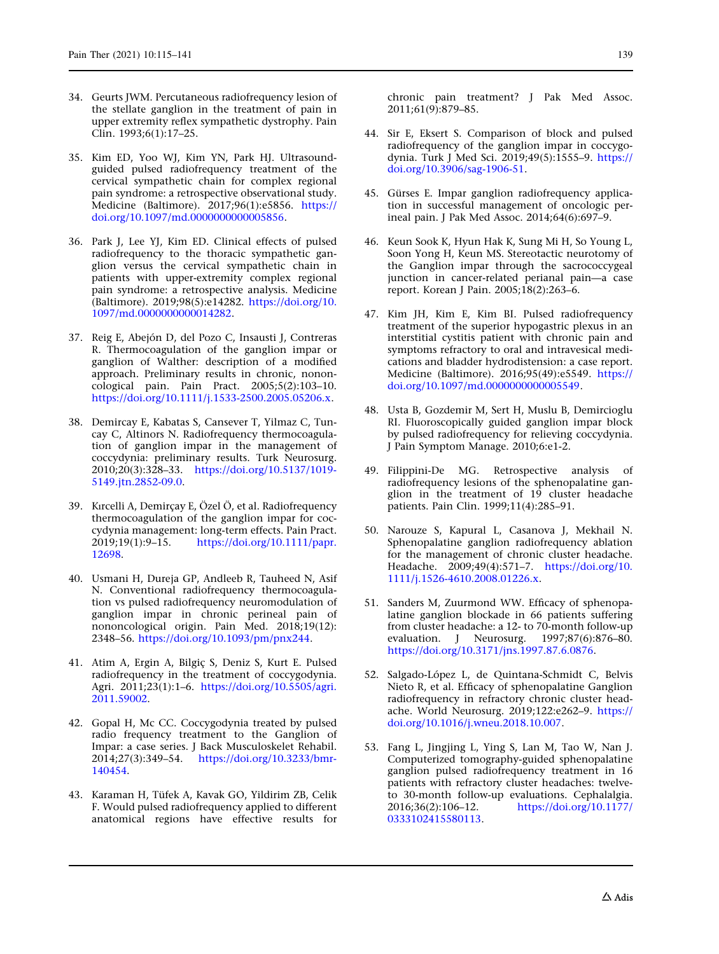- <span id="page-24-0"></span>34. Geurts JWM. Percutaneous radiofrequency lesion of the stellate ganglion in the treatment of pain in upper extremity reflex sympathetic dystrophy. Pain Clin. 1993;6(1):17–25.
- 35. Kim ED, Yoo WJ, Kim YN, Park HJ. Ultrasoundguided pulsed radiofrequency treatment of the cervical sympathetic chain for complex regional pain syndrome: a retrospective observational study. Medicine (Baltimore). 2017;96(1):e5856. [https://](https://doi.org/10.1097/md.0000000000005856) [doi.org/10.1097/md.0000000000005856](https://doi.org/10.1097/md.0000000000005856).
- 36. Park J, Lee YJ, Kim ED. Clinical effects of pulsed radiofrequency to the thoracic sympathetic ganglion versus the cervical sympathetic chain in patients with upper-extremity complex regional pain syndrome: a retrospective analysis. Medicine (Baltimore). 2019;98(5):e14282. [https://doi.org/10.](https://doi.org/10.1097/md.0000000000014282) [1097/md.0000000000014282.](https://doi.org/10.1097/md.0000000000014282)
- 37. Reig E, Abejón D, del Pozo C, Insausti J, Contreras R. Thermocoagulation of the ganglion impar or ganglion of Walther: description of a modified approach. Preliminary results in chronic, nononcological pain. Pain Pract. 2005;5(2):103–10. <https://doi.org/10.1111/j.1533-2500.2005.05206.x>.
- 38. Demircay E, Kabatas S, Cansever T, Yilmaz C, Tuncay C, Altinors N. Radiofrequency thermocoagulation of ganglion impar in the management of coccydynia: preliminary results. Turk Neurosurg. 2010;20(3):328–33. [https://doi.org/10.5137/1019-](https://doi.org/10.5137/1019-5149.jtn.2852-09.0) [5149.jtn.2852-09.0.](https://doi.org/10.5137/1019-5149.jtn.2852-09.0)
- 39. Kırcelli A, Demirçay E, Özel Ö, et al. Radiofrequency thermocoagulation of the ganglion impar for coccydynia management: long-term effects. Pain Pract. 2019;19(1):9–15. [https://doi.org/10.1111/papr.](https://doi.org/10.1111/papr.12698) [12698](https://doi.org/10.1111/papr.12698).
- 40. Usmani H, Dureja GP, Andleeb R, Tauheed N, Asif N. Conventional radiofrequency thermocoagulation vs pulsed radiofrequency neuromodulation of ganglion impar in chronic perineal pain of nononcological origin. Pain Med. 2018;19(12): 2348–56. [https://doi.org/10.1093/pm/pnx244.](https://doi.org/10.1093/pm/pnx244)
- 41. Atim A, Ergin A, Bilgiç S, Deniz S, Kurt E. Pulsed radiofrequency in the treatment of coccygodynia. Agri. 2011;23(1):1–6. [https://doi.org/10.5505/agri.](https://doi.org/10.5505/agri.2011.59002) [2011.59002](https://doi.org/10.5505/agri.2011.59002).
- 42. Gopal H, Mc CC. Coccygodynia treated by pulsed radio frequency treatment to the Ganglion of Impar: a case series. J Back Musculoskelet Rehabil. 2014;27(3):349–54. [https://doi.org/10.3233/bmr-](https://doi.org/10.3233/bmr-140454)[140454](https://doi.org/10.3233/bmr-140454).
- 43. Karaman H, Tüfek A, Kavak GO, Yildirim ZB, Celik F. Would pulsed radiofrequency applied to different anatomical regions have effective results for

chronic pain treatment? J Pak Med Assoc. 2011;61(9):879–85.

- 44. Sir E, Eksert S. Comparison of block and pulsed radiofrequency of the ganglion impar in coccygodynia. Turk J Med Sci. 2019;49(5):1555–9. [https://](https://doi.org/10.3906/sag-1906-51) [doi.org/10.3906/sag-1906-51](https://doi.org/10.3906/sag-1906-51).
- 45. Gürses E. Impar ganglion radiofrequency application in successful management of oncologic perineal pain. J Pak Med Assoc. 2014;64(6):697–9.
- 46. Keun Sook K, Hyun Hak K, Sung Mi H, So Young L, Soon Yong H, Keun MS. Stereotactic neurotomy of the Ganglion impar through the sacrococcygeal junction in cancer-related perianal pain—a case report. Korean J Pain. 2005;18(2):263–6.
- 47. Kim JH, Kim E, Kim BI. Pulsed radiofrequency treatment of the superior hypogastric plexus in an interstitial cystitis patient with chronic pain and symptoms refractory to oral and intravesical medications and bladder hydrodistension: a case report. Medicine (Baltimore). 2016;95(49):e5549. [https://](https://doi.org/10.1097/md.0000000000005549) [doi.org/10.1097/md.0000000000005549.](https://doi.org/10.1097/md.0000000000005549)
- 48. Usta B, Gozdemir M, Sert H, Muslu B, Demircioglu RI. Fluoroscopically guided ganglion impar block by pulsed radiofrequency for relieving coccydynia. J Pain Symptom Manage. 2010;6:e1-2.
- 49. Filippini-De MG. Retrospective analysis of radiofrequency lesions of the sphenopalatine ganglion in the treatment of 19 cluster headache patients. Pain Clin. 1999;11(4):285–91.
- 50. Narouze S, Kapural L, Casanova J, Mekhail N. Sphenopalatine ganglion radiofrequency ablation for the management of chronic cluster headache. Headache. 2009;49(4):571–7. [https://doi.org/10.](https://doi.org/10.1111/j.1526-4610.2008.01226.x) [1111/j.1526-4610.2008.01226.x.](https://doi.org/10.1111/j.1526-4610.2008.01226.x)
- 51. Sanders M, Zuurmond WW. Efficacy of sphenopalatine ganglion blockade in 66 patients suffering from cluster headache: a 12- to 70-month follow-up evaluation. J Neurosurg. 1997;87(6):876–80. [https://doi.org/10.3171/jns.1997.87.6.0876.](https://doi.org/10.3171/jns.1997.87.6.0876)
- 52. Salgado-López L, de Quintana-Schmidt C, Belvis Nieto R, et al. Efficacy of sphenopalatine Ganglion radiofrequency in refractory chronic cluster headache. World Neurosurg. 2019;122:e262–9. [https://](https://doi.org/10.1016/j.wneu.2018.10.007) [doi.org/10.1016/j.wneu.2018.10.007](https://doi.org/10.1016/j.wneu.2018.10.007).
- 53. Fang L, Jingjing L, Ying S, Lan M, Tao W, Nan J. Computerized tomography-guided sphenopalatine ganglion pulsed radiofrequency treatment in 16 patients with refractory cluster headaches: twelveto 30-month follow-up evaluations. Cephalalgia.<br>2016;36(2):106–12. https://doi.org/10.1177/ 2016;36(2):106–12. [https://doi.org/10.1177/](https://doi.org/10.1177/0333102415580113) [0333102415580113.](https://doi.org/10.1177/0333102415580113)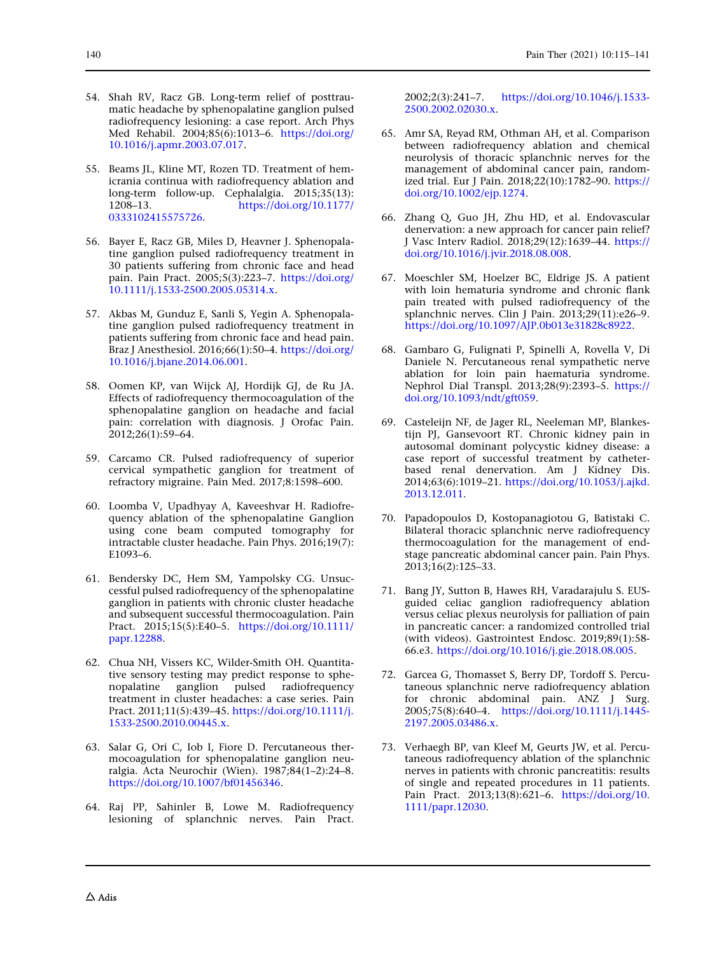- <span id="page-25-0"></span>54. Shah RV, Racz GB. Long-term relief of posttraumatic headache by sphenopalatine ganglion pulsed radiofrequency lesioning: a case report. Arch Phys Med Rehabil. 2004;85(6):1013–6. [https://doi.org/](https://doi.org/10.1016/j.apmr.2003.07.017) [10.1016/j.apmr.2003.07.017.](https://doi.org/10.1016/j.apmr.2003.07.017)
- 55. Beams JL, Kline MT, Rozen TD. Treatment of hemicrania continua with radiofrequency ablation and long-term follow-up. Cephalalgia. 2015;35(13): 1208–13. [https://doi.org/10.1177/](https://doi.org/10.1177/0333102415575726) [0333102415575726.](https://doi.org/10.1177/0333102415575726)
- 56. Bayer E, Racz GB, Miles D, Heavner J. Sphenopalatine ganglion pulsed radiofrequency treatment in 30 patients suffering from chronic face and head pain. Pain Pract. 2005;5(3):223–7. [https://doi.org/](https://doi.org/10.1111/j.1533-2500.2005.05314.x) [10.1111/j.1533-2500.2005.05314.x.](https://doi.org/10.1111/j.1533-2500.2005.05314.x)
- 57. Akbas M, Gunduz E, Sanli S, Yegin A. Sphenopalatine ganglion pulsed radiofrequency treatment in patients suffering from chronic face and head pain. Braz J Anesthesiol. 2016;66(1):50–4. [https://doi.org/](https://doi.org/10.1016/j.bjane.2014.06.001) [10.1016/j.bjane.2014.06.001.](https://doi.org/10.1016/j.bjane.2014.06.001)
- 58. Oomen KP, van Wijck AJ, Hordijk GJ, de Ru JA. Effects of radiofrequency thermocoagulation of the sphenopalatine ganglion on headache and facial pain: correlation with diagnosis. J Orofac Pain. 2012;26(1):59–64.
- 59. Carcamo CR. Pulsed radiofrequency of superior cervical sympathetic ganglion for treatment of refractory migraine. Pain Med. 2017;8:1598–600.
- 60. Loomba V, Upadhyay A, Kaveeshvar H. Radiofrequency ablation of the sphenopalatine Ganglion using cone beam computed tomography for intractable cluster headache. Pain Phys. 2016;19(7): E1093–6.
- 61. Bendersky DC, Hem SM, Yampolsky CG. Unsuccessful pulsed radiofrequency of the sphenopalatine ganglion in patients with chronic cluster headache and subsequent successful thermocoagulation. Pain Pract. 2015;15(5):E40–5. [https://doi.org/10.1111/](https://doi.org/10.1111/papr.12288) [papr.12288.](https://doi.org/10.1111/papr.12288)
- 62. Chua NH, Vissers KC, Wilder-Smith OH. Quantitative sensory testing may predict response to sphenopalatine ganglion pulsed radiofrequency treatment in cluster headaches: a case series. Pain Pract. 2011;11(5):439–45. [https://doi.org/10.1111/j.](https://doi.org/10.1111/j.1533-2500.2010.00445.x) [1533-2500.2010.00445.x.](https://doi.org/10.1111/j.1533-2500.2010.00445.x)
- 63. Salar G, Ori C, Iob I, Fiore D. Percutaneous thermocoagulation for sphenopalatine ganglion neuralgia. Acta Neurochir (Wien). 1987;84(1–2):24–8. <https://doi.org/10.1007/bf01456346>.
- 64. Raj PP, Sahinler B, Lowe M. Radiofrequency lesioning of splanchnic nerves. Pain Pract.

2002;2(3):241–7. [https://doi.org/10.1046/j.1533-](https://doi.org/10.1046/j.1533-2500.2002.02030.x) [2500.2002.02030.x.](https://doi.org/10.1046/j.1533-2500.2002.02030.x)

- 65. Amr SA, Reyad RM, Othman AH, et al. Comparison between radiofrequency ablation and chemical neurolysis of thoracic splanchnic nerves for the management of abdominal cancer pain, randomized trial. Eur J Pain. 2018;22(10):1782–90. [https://](https://doi.org/10.1002/ejp.1274) [doi.org/10.1002/ejp.1274](https://doi.org/10.1002/ejp.1274).
- 66. Zhang Q, Guo JH, Zhu HD, et al. Endovascular denervation: a new approach for cancer pain relief? J Vasc Interv Radiol. 2018;29(12):1639–44. [https://](https://doi.org/10.1016/j.jvir.2018.08.008) [doi.org/10.1016/j.jvir.2018.08.008](https://doi.org/10.1016/j.jvir.2018.08.008).
- 67. Moeschler SM, Hoelzer BC, Eldrige JS. A patient with loin hematuria syndrome and chronic flank pain treated with pulsed radiofrequency of the splanchnic nerves. Clin J Pain. 2013;29(11):e26–9. [https://doi.org/10.1097/AJP.0b013e31828c8922.](https://doi.org/10.1097/AJP.0b013e31828c8922)
- 68. Gambaro G, Fulignati P, Spinelli A, Rovella V, Di Daniele N. Percutaneous renal sympathetic nerve ablation for loin pain haematuria syndrome. Nephrol Dial Transpl. 2013;28(9):2393–5. [https://](https://doi.org/10.1093/ndt/gft059) [doi.org/10.1093/ndt/gft059.](https://doi.org/10.1093/ndt/gft059)
- 69. Casteleijn NF, de Jager RL, Neeleman MP, Blankestijn PJ, Gansevoort RT. Chronic kidney pain in autosomal dominant polycystic kidney disease: a case report of successful treatment by catheterbased renal denervation. Am J Kidney Dis. 2014;63(6):1019–21. [https://doi.org/10.1053/j.ajkd.](https://doi.org/10.1053/j.ajkd.2013.12.011) [2013.12.011.](https://doi.org/10.1053/j.ajkd.2013.12.011)
- 70. Papadopoulos D, Kostopanagiotou G, Batistaki C. Bilateral thoracic splanchnic nerve radiofrequency thermocoagulation for the management of endstage pancreatic abdominal cancer pain. Pain Phys.  $2013;16(2):125-33.$
- 71. Bang JY, Sutton B, Hawes RH, Varadarajulu S. EUSguided celiac ganglion radiofrequency ablation versus celiac plexus neurolysis for palliation of pain in pancreatic cancer: a randomized controlled trial (with videos). Gastrointest Endosc. 2019;89(1):58- 66.e3. <https://doi.org/10.1016/j.gie.2018.08.005>.
- 72. Garcea G, Thomasset S, Berry DP, Tordoff S. Percutaneous splanchnic nerve radiofrequency ablation for chronic abdominal pain. ANZ J Surg. 2005;75(8):640–4. [https://doi.org/10.1111/j.1445-](https://doi.org/10.1111/j.1445-2197.2005.03486.x) [2197.2005.03486.x.](https://doi.org/10.1111/j.1445-2197.2005.03486.x)
- 73. Verhaegh BP, van Kleef M, Geurts JW, et al. Percutaneous radiofrequency ablation of the splanchnic nerves in patients with chronic pancreatitis: results of single and repeated procedures in 11 patients. Pain Pract. 2013;13(8):621-6. [https://doi.org/10.](https://doi.org/10.1111/papr.12030) [1111/papr.12030.](https://doi.org/10.1111/papr.12030)